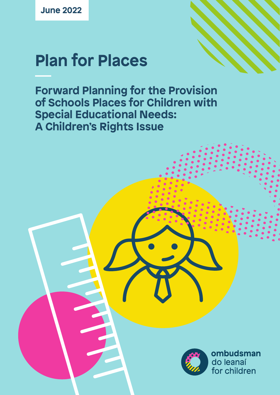**June 2022**

# **Plan for Places**

**Forward Planning for the Provision of Schools Places for Children with Special Educational Needs: A Children's Rights Issue**



ombudsman do leanaí for children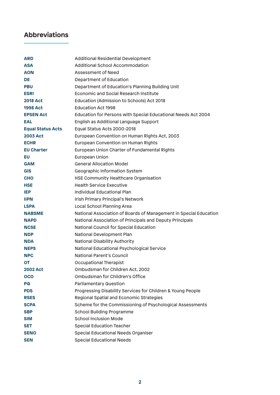# **Abbreviations**

| <b>ARD</b>               | <b>Additional Residential Development</b>                         |
|--------------------------|-------------------------------------------------------------------|
| <b>ASA</b>               | <b>Additional School Accommodation</b>                            |
| <b>AON</b>               | Assessment of Need                                                |
| DE                       | Department of Education                                           |
| <b>PBU</b>               | Department of Education's Planning Building Unit                  |
| <b>ESRI</b>              | <b>Economic and Social Research Institute</b>                     |
| <b>2018 Act</b>          | Education (Admission to Schools) Act 2018                         |
| <b>1998 Act</b>          | <b>Education Act 1998</b>                                         |
| <b>EPSEN Act</b>         | Education for Persons with Special Educational Needs Act 2004     |
| EAL                      | English as Additional Language Support                            |
| <b>Equal Status Acts</b> | Equal Status Acts 2000-2018                                       |
| <b>2003 Act</b>          | European Convention on Human Rights Act, 2003                     |
| <b>ECHR</b>              | European Convention on Human Rights                               |
| <b>EU Charter</b>        | European Union Charter of Fundamental Rights                      |
| EU                       | <b>European Union</b>                                             |
| <b>GAM</b>               | <b>General Allocation Model</b>                                   |
| <b>GIS</b>               | <b>Geographic Information System</b>                              |
| <b>CHO</b>               | <b>HSE Community Healthcare Organisation</b>                      |
| <b>HSE</b>               | <b>Health Service Executive</b>                                   |
| <b>IEP</b>               | Individual Educational Plan                                       |
| <b>IIPN</b>              | <b>Irish Primary Principal's Network</b>                          |
| <b>LSPA</b>              | <b>Local School Planning Area</b>                                 |
| <b>NABSME</b>            | National Association of Boards of Management in Special Education |
| <b>NAPD</b>              | National Association of Principals and Deputy Principals          |
| <b>NCSE</b>              | National Council for Special Education                            |
| <b>NDP</b>               | <b>National Development Plan</b>                                  |
| <b>NDA</b>               | <b>National Disability Authority</b>                              |
| <b>NEPS</b>              | <b>National Educational Psychological Service</b>                 |
| <b>NPC</b>               | <b>National Parent's Council</b>                                  |
| <b>OT</b>                | <b>Occupational Therapist</b>                                     |
| <b>2002 Act</b>          | Ombudsman for Children Act, 2002                                  |
| <b>OCO</b>               | Ombudsman for Children's Office                                   |
| <b>PQ</b>                | <b>Parliamentary Question</b>                                     |
| <b>PDS</b>               | Progressing Disability Services for Children & Young People       |
| <b>RSES</b>              | Regional Spatial and Economic Strategies                          |
| <b>SCPA</b>              | Scheme for the Commissioning of Psychological Assessments         |
| <b>SBP</b>               | <b>School Building Programme</b>                                  |
| <b>SIM</b>               | <b>School Inclusion Mode</b>                                      |
| <b>SET</b>               | <b>Special Education Teacher</b>                                  |
| <b>SENO</b>              | <b>Special Educational Needs Organiser</b>                        |
| <b>SEN</b>               | <b>Special Educational Needs</b>                                  |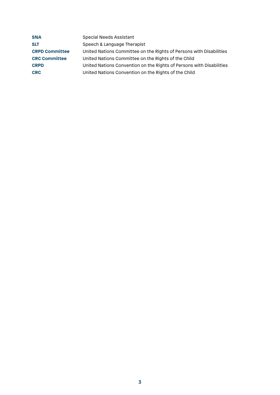| <b>SNA</b>            | <b>Special Needs Assistant</b>                                       |
|-----------------------|----------------------------------------------------------------------|
| <b>SLT</b>            | Speech & Language Therapist                                          |
| <b>CRPD Committee</b> | United Nations Committee on the Rights of Persons with Disabilities  |
| <b>CRC Committee</b>  | United Nations Committee on the Rights of the Child                  |
| <b>CRPD</b>           | United Nations Convention on the Rights of Persons with Disabilities |
| <b>CRC</b>            | United Nations Convention on the Rights of the Child                 |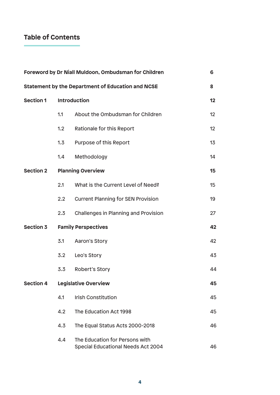# **Table of Contents**

| Foreword by Dr Niall Muldoon, Ombudsman for Children<br>6 |                  |                                                                      |                 |  |  |  |
|-----------------------------------------------------------|------------------|----------------------------------------------------------------------|-----------------|--|--|--|
|                                                           |                  | <b>Statement by the Department of Education and NCSE</b>             | 8               |  |  |  |
| <b>Section 1</b>                                          |                  | <b>Introduction</b>                                                  |                 |  |  |  |
|                                                           | 1.1              | About the Ombudsman for Children                                     | 12 <sup>°</sup> |  |  |  |
|                                                           | 1.2              | Rationale for this Report                                            | 12 <sup>°</sup> |  |  |  |
|                                                           | 1.3              | Purpose of this Report                                               | 13              |  |  |  |
|                                                           | 1.4              | Methodology                                                          | 14              |  |  |  |
| <b>Section 2</b>                                          |                  | <b>Planning Overview</b>                                             | 15              |  |  |  |
|                                                           | 2.1              | What is the Current Level of Need?                                   | 15              |  |  |  |
|                                                           | $2.2\phantom{0}$ | <b>Current Planning for SEN Provision</b>                            | 19              |  |  |  |
|                                                           | 2.3              | <b>Challenges in Planning and Provision</b>                          | 27              |  |  |  |
| <b>Section 3</b>                                          |                  | <b>Family Perspectives</b>                                           | 42              |  |  |  |
|                                                           | 3.1              | Aaron's Story                                                        | 42              |  |  |  |
|                                                           | 3.2              | Leo's Story                                                          | 43              |  |  |  |
|                                                           | 3.3              | <b>Robert's Story</b>                                                | 44              |  |  |  |
| <b>Section 4</b>                                          |                  | <b>Legislative Overview</b>                                          | 45              |  |  |  |
|                                                           | 4.1              | <b>Irish Constitution</b>                                            | 45              |  |  |  |
|                                                           | 4.2              | The Education Act 1998                                               | 45              |  |  |  |
|                                                           | 4.3              | The Equal Status Acts 2000-2018                                      | 46              |  |  |  |
|                                                           | 4.4              | The Education for Persons with<br>Special Educational Needs Act 2004 | 46              |  |  |  |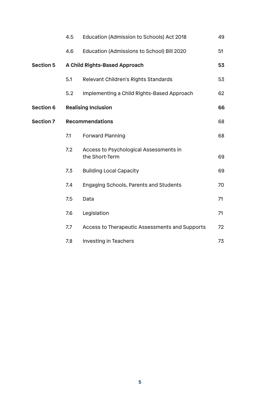|                  | 4.5 | Education (Admission to Schools) Act 2018                | 49 |
|------------------|-----|----------------------------------------------------------|----|
|                  | 4.6 | Education (Admissions to School) Bill 2020               | 51 |
| <b>Section 5</b> |     | <b>A Child Rights-Based Approach</b>                     | 53 |
|                  | 5.1 | Relevant Children's Rights Standards                     | 53 |
|                  | 5.2 | Implementing a Child Rights-Based Approach               | 62 |
| <b>Section 6</b> |     | <b>Realising Inclusion</b>                               | 66 |
| <b>Section 7</b> |     | <b>Recommendations</b>                                   | 68 |
|                  | 7.1 | <b>Forward Planning</b>                                  | 68 |
|                  | 7.2 | Access to Psychological Assessments in<br>the Short-Term | 69 |
|                  | 7.3 | <b>Building Local Capacity</b>                           | 69 |
|                  | 7.4 | <b>Engaging Schools, Parents and Students</b>            | 70 |
|                  | 7.5 | Data                                                     | 71 |
|                  | 7.6 | Legislation                                              | 71 |
|                  | 7.7 | <b>Access to Therapeutic Assessments and Supports</b>    | 72 |
|                  | 7.8 | <b>Investing in Teachers</b>                             | 73 |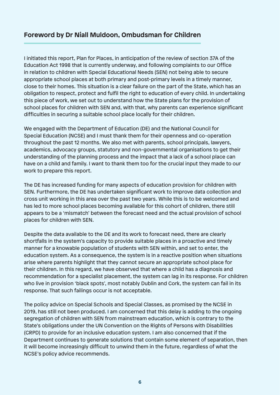# **Foreword by Dr Niall Muldoon, Ombudsman for Children**

I initiated this report, Plan for Places, in anticipation of the review of section 37A of the Education Act 1998 that is currently underway, and following complaints to our Office in relation to children with Special Educational Needs (SEN) not being able to secure appropriate school places at both primary and post-primary levels in a timely manner, close to their homes. This situation is a clear failure on the part of the State, which has an obligation to respect, protect and fulfil the right to education of every child. In undertaking this piece of work, we set out to understand how the State plans for the provision of school places for children with SEN and, with that, why parents can experience significant difficulties in securing a suitable school place locally for their children.

We engaged with the Department of Education (DE) and the National Council for Special Education (NCSE) and I must thank them for their openness and co-operation throughout the past 12 months. We also met with parents, school principals, lawyers, academics, advocacy groups, statutory and non-governmental organisations to get their understanding of the planning process and the impact that a lack of a school place can have on a child and family. I want to thank them too for the crucial input they made to our work to prepare this report.

The DE has increased funding for many aspects of education provision for children with SEN. Furthermore, the DE has undertaken significant work to improve data collection and cross unit working in this area over the past two years. While this is to be welcomed and has led to more school places becoming available for this cohort of children, there still appears to be a 'mismatch' between the forecast need and the actual provision of school places for children with SEN.

Despite the data available to the DE and its work to forecast need, there are clearly shortfalls in the system's capacity to provide suitable places in a proactive and timely manner for a knowable population of students with SEN within, and set to enter, the education system. As a consequence, the system is in a reactive position when situations arise where parents highlight that they cannot secure an appropriate school place for their children. In this regard, we have observed that where a child has a diagnosis and recommendation for a specialist placement, the system can lag in its response. For children who live in provision 'black spots', most notably Dublin and Cork, the system can fail in its response. That such failings occur is not acceptable.

The policy advice on Special Schools and Special Classes, as promised by the NCSE in 2019, has still not been produced. I am concerned that this delay is adding to the ongoing segregation of children with SEN from mainstream education, which is contrary to the State's obligations under the UN Convention on the Rights of Persons with Disabilities (CRPD) to provide for an inclusive education system. I am also concerned that if the Department continues to generate solutions that contain some element of separation, then it will become increasingly difficult to unwind them in the future, regardless of what the NCSE's policy advice recommends.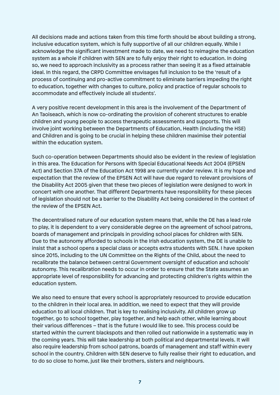All decisions made and actions taken from this time forth should be about building a strong, inclusive education system, which is fully supportive of all our children equally. While I acknowledge the significant investment made to date, we need to reimagine the education system as a whole if children with SEN are to fully enjoy their right to education. In doing so, we need to approach inclusivity as a process rather than seeing it as a fixed attainable ideal. In this regard, the CRPD Committee envisages full inclusion to be the 'result of a process of continuing and pro-active commitment to eliminate barriers impeding the right to education, together with changes to culture, policy and practice of regular schools to accommodate and effectively include all students'.

A very positive recent development in this area is the involvement of the Department of An Taoiseach, which is now co-ordinating the provision of coherent structures to enable children and young people to access therapeutic assessments and supports. This will involve joint working between the Departments of Education, Health (including the HSE) and Children and is going to be crucial in helping these children maximise their potential within the education system.

Such co-operation between Departments should also be evident in the review of legislation in this area. The Education for Persons with Special Educational Needs Act 2004 (EPSEN Act) and Section 37A of the Education Act 1998 are currently under review. It is my hope and expectation that the review of the EPSEN Act will have due regard to relevant provisions of the Disability Act 2005 given that these two pieces of legislation were designed to work in concert with one another. That different Departments have responsibility for these pieces of legislation should not be a barrier to the Disability Act being considered in the context of the review of the EPSEN Act.

The decentralised nature of our education system means that, while the DE has a lead role to play, it is dependent to a very considerable degree on the agreement of school patrons, boards of management and principals in providing school places for children with SEN. Due to the autonomy afforded to schools in the Irish education system, the DE is unable to insist that a school opens a special class or accepts extra students with SEN. I have spoken since 2015, including to the UN Committee on the Rights of the Child, about the need to recalibrate the balance between central Government oversight of education and schools' autonomy. This recalibration needs to occur in order to ensure that the State assumes an appropriate level of responsibility for advancing and protecting children's rights within the education system.

We also need to ensure that every school is appropriately resourced to provide education to the children in their local area. In addition, we need to expect that they will provide education to all local children. That is key to realising inclusivity. All children grow up together, go to school together, play together, and help each other, while learning about their various differences – that is the future I would like to see. This process could be started within the current blackspots and then rolled out nationwide in a systematic way in the coming years. This will take leadership at both political and departmental levels. It will also require leadership from school patrons, boards of management and staff within every school in the country. Children with SEN deserve to fully realise their right to education, and to do so close to home, just like their brothers, sisters and neighbours.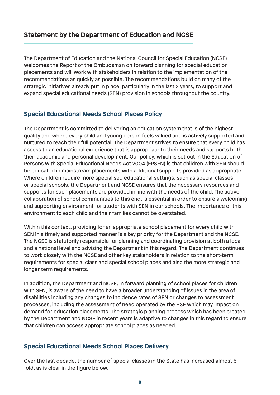# **Statement by the Department of Education and NCSE**

The Department of Education and the National Council for Special Education (NCSE) welcomes the Report of the Ombudsman on forward planning for special education placements and will work with stakeholders in relation to the implementation of the recommendations as quickly as possible. The recommendations build on many of the strategic initiatives already put in place, particularly in the last 2 years, to support and expand special educational needs (SEN) provision in schools throughout the country.

## **Special Educational Needs School Places Policy**

The Department is committed to delivering an education system that is of the highest quality and where every child and young person feels valued and is actively supported and nurtured to reach their full potential. The Department strives to ensure that every child has access to an educational experience that is appropriate to their needs and supports both their academic and personal development. Our policy, which is set out in the Education of Persons with Special Educational Needs Act 2004 (EPSEN) is that children with SEN should be educated in mainstream placements with additional supports provided as appropriate. Where children require more specialised educational settings, such as special classes or special schools, the Department and NCSE ensures that the necessary resources and supports for such placements are provided in line with the needs of the child. The active collaboration of school communities to this end, is essential in order to ensure a welcoming and supporting environment for students with SEN in our schools. The importance of this environment to each child and their families cannot be overstated.

Within this context, providing for an appropriate school placement for every child with SEN in a timely and supported manner is a key priority for the Department and the NCSE. The NCSE is statutorily responsible for planning and coordinating provision at both a local and a national level and advising the Department in this regard. The Department continues to work closely with the NCSE and other key stakeholders in relation to the short-term requirements for special class and special school places and also the more strategic and longer term requirements.

In addition, the Department and NCSE, in forward planning of school places for children with SEN, is aware of the need to have a broader understanding of issues in the area of disabilities including any changes to incidence rates of SEN or changes to assessment processes, including the assessment of need operated by the HSE which may impact on demand for education placements. The strategic planning process which has been created by the Department and NCSE in recent years is adaptive to changes in this regard to ensure that children can access appropriate school places as needed.

#### **Special Educational Needs School Places Delivery**

Over the last decade, the number of special classes in the State has increased almost 5 fold, as is clear in the figure below.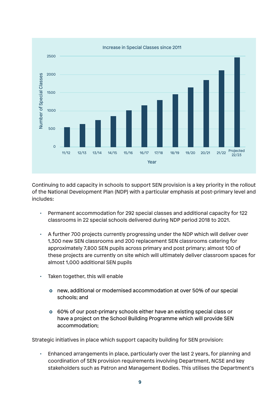

Continuing to add capacity in schools to support SEN provision is a key priority in the rollout of the National Development Plan (NDP) with a particular emphasis at post-primary level and includes:

- Permanent accommodation for 292 special classes and additional capacity for 122 classrooms in 22 special schools delivered during NDP period 2018 to 2021.
- A further 700 projects currently progressing under the NDP which will deliver over 1,300 new SEN classrooms and 200 replacement SEN classrooms catering for approximately 7,800 SEN pupils across primary and post primary; almost 100 of these projects are currently on site which will ultimately deliver classroom spaces for almost 1,000 additional SEN pupils
- Taken together, this will enable
	- **o** new, additional or modernised accommodation at over 50% of our special schools; and
	- **o** 60% of our post-primary schools either have an existing special class or have a project on the School Building Programme which will provide SEN accommodation;

Strategic initiatives in place which support capacity building for SEN provision:

• Enhanced arrangements in place, particularly over the last 2 years, for planning and coordination of SEN provision requirements involving Department, NCSE and key stakeholders such as Patron and Management Bodies. This utilises the Department's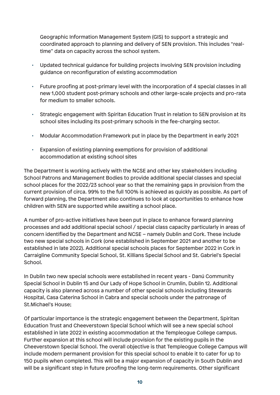Geographic Information Management System (GIS) to support a strategic and coordinated approach to planning and delivery of SEN provision. This includes "realtime" data on capacity across the school system.

- Updated technical guidance for building projects involving SEN provision including guidance on reconfiguration of existing accommodation
- Future proofing at post-primary level with the incorporation of 4 special classes in all new 1,000 student post-primary schools and other large-scale projects and pro-rata for medium to smaller schools.
- Strategic engagement with Spiritan Education Trust in relation to SEN provision at its school sites including its post-primary schools in the fee-charging sector.
- Modular Accommodation Framework put in place by the Department in early 2021
- Expansion of existing planning exemptions for provision of additional accommodation at existing school sites

The Department is working actively with the NCSE and other key stakeholders including School Patrons and Management Bodies to provide additional special classes and special school places for the 2022/23 school year so that the remaining gaps in provision from the current provision of circa. 99% to the full 100% is achieved as quickly as possible. As part of forward planning, the Department also continues to look at opportunities to enhance how children with SEN are supported while awaiting a school place.

A number of pro-active initiatives have been put in place to enhance forward planning processes and add additional special school / special class capacity particularly in areas of concern identified by the Department and NCSE – namely Dublin and Cork. These include two new special schools in Cork (one established in September 2021 and another to be established in late 2022). Additional special schools places for September 2022 in Cork in Carraigline Community Special School, St. Killians Special School and St. Gabriel's Special School.

In Dublin two new special schools were established in recent years - Danú Community Special School in Dublin 15 and Our Lady of Hope School in Crumlin, Dublin 12. Additional capacity is also planned across a number of other special schools including Stewards Hospital, Casa Caterina School in Cabra and special schools under the patronage of St.Michael's House;

Of particular importance is the strategic engagement between the Department, Spiritan Education Trust and Cheeverstown Special School which will see a new special school established in late 2022 in existing accommodation at the Templeogue College campus. Further expansion at this school will include provision for the existing pupils in the Cheeverstown Special School. The overall objective is that Templeogue College Campus will include modern permanent provision for this special school to enable it to cater for up to 150 pupils when completed. This will be a major expansion of capacity in South Dublin and will be a significant step in future proofing the long-term requirements. Other significant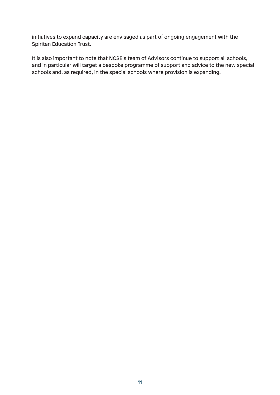initiatives to expand capacity are envisaged as part of ongoing engagement with the Spiritan Education Trust.

It is also important to note that NCSE's team of Advisors continue to support all schools, and in particular will target a bespoke programme of support and advice to the new special schools and, as required, in the special schools where provision is expanding.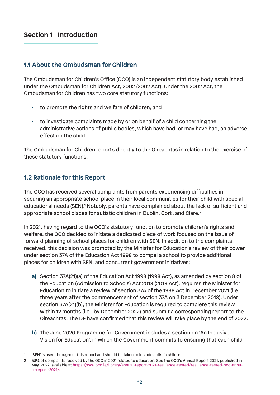# **1.1 About the Ombudsman for Children**

The Ombudsman for Children's Office (OCO) is an independent statutory body established under the Ombudsman for Children Act, 2002 (2002 Act). Under the 2002 Act, the Ombudsman for Children has two core statutory functions:

- to promote the rights and welfare of children; and
- to investigate complaints made by or on behalf of a child concerning the administrative actions of public bodies, which have had, or may have had, an adverse effect on the child.

The Ombudsman for Children reports directly to the Oireachtas in relation to the exercise of these statutory functions.

# **1.2 Rationale for this Report**

The OCO has received several complaints from parents experiencing difficulties in securing an appropriate school place in their local communities for their child with special educational needs (SEN).<sup>1</sup> Notably, parents have complained about the lack of sufficient and appropriate school places for autistic children in Dublin, Cork, and Clare.<sup>2</sup>

In 2021, having regard to the OCO's statutory function to promote children's rights and welfare, the OCO decided to initiate a dedicated piece of work focused on the issue of forward planning of school places for children with SEN. In addition to the complaints received, this decision was prompted by the Minister for Education's review of their power under section 37A of the Education Act 1998 to compel a school to provide additional places for children with SEN, and concurrent government initiatives:

- **a)** Section 37A(21)(a) of the Education Act 1998 (1998 Act), as amended by section 8 of the Education (Admission to Schools) Act 2018 (2018 Act), requires the Minister for Education to initiate a review of section 37A of the 1998 Act in December 2021 (i.e., three years after the commencement of section 37A on 3 December 2018). Under section 37A(21)(b), the Minister for Education is required to complete this review within 12 months (i.e., by December 2022) and submit a corresponding report to the Oireachtas. The DE have confirmed that this review will take place by the end of 2022.
- **b)** The June 2020 Programme for Government includes a section on **'**An Inclusive Vision for Education', in which the Government commits to ensuring that each child

<sup>1 &#</sup>x27;SEN' is used throughout this report and should be taken to include autistic children.

<sup>2</sup> 53% of complaints received by the OCO in 2021 related to education. See the OCO's Annual Report 2021, published in May 2022, available at https://www.oco.ie/library/annual-report-2021-resilience-tested/resilience-tested-oco-annual-report-2021/.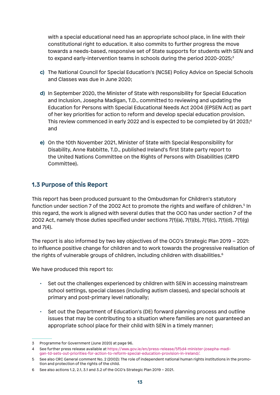with a special educational need has an appropriate school place, in line with their constitutional right to education. It also commits to further progress the move towards a needs-based, responsive set of State supports for students with SEN and to expand early-intervention teams in schools during the period 2020-2025;<sup>3</sup>

- **c)** The National Council for Special Education's (NCSE) Policy Advice on Special Schools and Classes was due in June 2020;
- **d)** In September 2020, the Minister of State with responsibility for Special Education and Inclusion, Josepha Madigan, T.D., committed to reviewing and updating the Education for Persons with Special Educational Needs Act 2004 (EPSEN Act) as part of her key priorities for action to reform and develop special education provision. This review commenced in early 2022 and is expected to be completed by  $Q1 2025$ ;<sup>4</sup> and
- **e)** On the 10th November 2021, Minister of State with Special Responsibility for Disability, Anne Rabbitte, T.D., published Ireland's first State party report to the United Nations Committee on the Rights of Persons with Disabilities (CRPD Committee).

# **1.3 Purpose of this Report**

This report has been produced pursuant to the Ombudsman for Children's statutory function under section 7 of the 2002 Act to promote the rights and welfare of children.<sup>5</sup> In this regard, the work is aligned with several duties that the OCO has under section 7 of the 2002 Act, namely those duties specified under sections 7(1)(a), 7(1)(b), 7(1)(c), 7(1)(d), 7(1)(g) and 7(4).

The report is also informed by two key objectives of the OCO's Strategic Plan 2019 – 2021: to influence positive change for children and to work towards the progressive realisation of the rights of vulnerable groups of children, including children with disabilities.<sup>6</sup>

We have produced this report to:

- Set out the challenges experienced by children with SEN in accessing mainstream school settings, special classes (including autism classes), and special schools at primary and post-primary level nationally;
- Set out the Department of Education's (DE) forward planning process and outline issues that may be contributing to a situation where families are not guaranteed an appropriate school place for their child with SEN in a timely manner;

<sup>3</sup> Programme for Government (June 2020) at page 96.

<sup>4</sup> See further press release available at https://www.gov.ie/en/press-release/5f5d4-minister-josepha-madigan-td-sets-out-priorities-for-action-to-reform-special-education-provision-in-ireland/.

<sup>5</sup> See also CRC General comment No. 2 (2002): The role of independent national human rights institutions in the promotion and protection of the rights of the child.

<sup>6</sup> See also actions 1.2, 2.1, 3.1 and 3.2 of the OCO's Strategic Plan 2019 – 2021.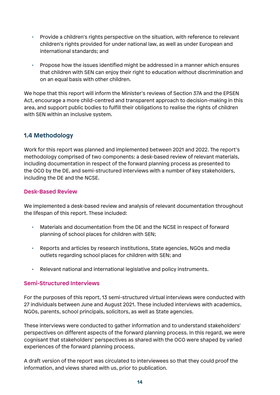- Provide a children's rights perspective on the situation, with reference to relevant children's rights provided for under national law, as well as under European and international standards; and
- Propose how the issues identified might be addressed in a manner which ensures that children with SEN can enjoy their right to education without discrimination and on an equal basis with other children.

We hope that this report will inform the Minister's reviews of Section 37A and the EPSEN Act, encourage a more child-centred and transparent approach to decision-making in this area, and support public bodies to fulfill their obligations to realise the rights of children with SEN within an inclusive system.

# **1.4 Methodology**

Work for this report was planned and implemented between 2021 and 2022. The report's methodology comprised of two components: a desk-based review of relevant materials, including documentation in respect of the forward planning process as presented to the OCO by the DE, and semi-structured interviews with a number of key stakeholders, including the DE and the NCSE.

#### **Desk-Based Review**

We implemented a desk-based review and analysis of relevant documentation throughout the lifespan of this report. These included:

- Materials and documentation from the DE and the NCSE in respect of forward planning of school places for children with SEN;
- Reports and articles by research institutions, State agencies, NGOs and media outlets regarding school places for children with SEN; and
- Relevant national and international legislative and policy instruments.

#### **Semi-Structured Interviews**

For the purposes of this report, 13 semi-structured virtual interviews were conducted with 27 individuals between June and August 2021. These included interviews with academics, NGOs, parents, school principals, solicitors, as well as State agencies.

These interviews were conducted to gather information and to understand stakeholders' perspectives on different aspects of the forward planning process. In this regard, we were cognisant that stakeholders' perspectives as shared with the OCO were shaped by varied experiences of the forward planning process.

A draft version of the report was circulated to interviewees so that they could proof the information, and views shared with us, prior to publication.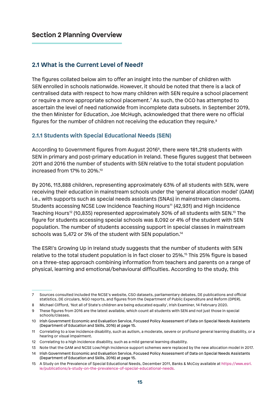## **2.1 What is the Current Level of Need?**

The figures collated below aim to offer an insight into the number of children with SEN enrolled in schools nationwide. However, it should be noted that there is a lack of centralised data with respect to how many children with SEN require a school placement or require a more appropriate school placement.7 As such, the OCO has attempted to ascertain the level of need nationwide from incomplete data subsets. In September 2019, the then Minister for Education, Joe McHugh, acknowledged that there were no official figures for the number of children not receiving the education they require.<sup>8</sup>

#### **2.1.1 Students with Special Educational Needs (SEN)**

According to Government figures from August 20169, there were 181,218 students with SEN in primary and post-primary education in Ireland. These figures suggest that between 2011 and 2016 the number of students with SEN relative to the total student population increased from 17% to 20%.10

By 2016, 113,888 children, representing approximately 63% of all students with SEN, were receiving their education in mainstream schools under the 'general allocation model' (GAM) i.e., with supports such as special needs assistants (SNAs) in mainstream classrooms. Students accessing NCSE Low Incidence Teaching Hours<sup>11</sup> (42,931) and High Incidence Teaching Hours<sup>12</sup> (10,835) represented approximately 30% of all students with SEN.<sup>13</sup> The figure for students accessing special schools was 8,092 or 4% of the student with SEN population. The number of students accessing support in special classes in mainstream schools was 5,472 or 3% of the student with SEN population.<sup>14</sup>

The ESRI's Growing Up in Ireland study suggests that the number of students with SEN relative to the total student population is in fact closer to 25%.15 This 25% figure is based on a three-step approach combining information from teachers and parents on a range of physical, learning and emotional/behavioural difficulties. According to the study, this

<sup>7</sup> Sources consulted included the NCSE's website, CSO datasets, parliamentary debates, DE publications and official statistics, DE circulars, NGO reports, and figures from the Department of Public Expenditure and Reform (DPER).

<sup>8</sup> Michael Clifford, 'Not all of State's children are being educated equally', Irish Examiner, 14 February 2020.

<sup>9</sup> These figures from 2016 are the latest available, which count all students with SEN and not just those in special schools/classes.

<sup>10</sup> Irish Government Economic and Evaluation Service, Focused Policy Assessment of Data on Special Needs Assistants (Department of Education and Skills, 2016) at page 15.

<sup>11</sup> Correlating to a low incidence disability, such as autism, a moderate, severe or profound general learning disability, or a hearing or visual impairment.

<sup>12</sup> Correlating to a high incidence disability, such as a mild general learning disability.

<sup>13</sup> Note that the GAM and NCSE Low/High Incidence support schemes were replaced by the new allocation model in 2017.

<sup>14</sup> Irish Government Economic and Evaluation Service, Focused Policy Assessment of Data on Special Needs Assistants (Department of Education and Skills, 2016) at page 15.

<sup>15</sup> A Study on the Prevalence of Special Educational Needs, December 2011, Banks & McCoy available at https://www.esri. ie/publications/a-study-on-the-prevalence-of-special-educational-needs.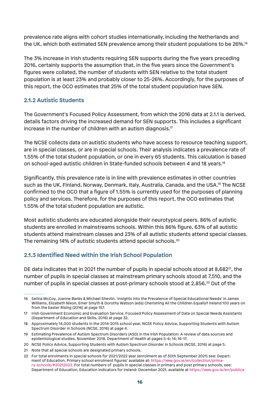prevalence rate aligns with cohort studies internationally, including the Netherlands and the UK, which both estimated SEN prevalence among their student populations to be 26%.16

The 3% increase in Irish students requiring SEN supports during the five years preceding 2016, certainly supports the assumption that, in the five years since the Government's figures were collated, the number of students with SEN relative to the total student population is at least 23% and probably closer to 25-26%. Accordingly, for the purposes of this report, the OCO estimates that 25% of the total student population have SEN.

#### **2.1.2 Autistic Students**

The Government's Focused Policy Assessment, from which the 2016 data at 2.1.1 is derived, details factors driving the increased demand for SEN supports. This includes a significant increase in the number of children with an autism diagnosis.<sup>17</sup>

The NCSE collects data on autistic students who have access to resource teaching support, are in special classes, or are in special schools. Their analysis indicates a prevalence rate of 1.55% of the total student population, or one in every 65 students. This calculation is based on school-aged autistic children in State-funded schools between 4 and 18 years.18

Significantly, this prevalence rate is in line with prevalence estimates in other countries such as the UK, Finland, Norway, Denmark, Italy, Australia, Canada, and the USA.19 The NCSE confirmed to the OCO that a figure of 1.55% is currently used for the purposes of planning policy and services. Therefore, for the purposes of this report, the OCO estimates that 1.55% of the total student population are autistic.

Most autistic students are educated alongside their neurotypical peers. 86% of autistic students are enrolled in mainstreams schools. Within this 86% figure, 63% of all autistic students attend mainstream classes and 23% of all autistic students attend special classes. The remaining 14% of autistic students attend special schools.<sup>20</sup>

# **2.1.3 Identified Need within the Irish School Population**

DE data indicates that in 2021 the number of pupils in special schools stood at 8,682<sup>21</sup>, the number of pupils in special classes at mainstream primary schools stood at 7,510, and the number of pupils in special classes at post-primary schools stood at 2,856.<sup>22</sup> Out of the

21 Note that all special schools are designated primary schools.

<sup>16</sup> Selina McCoy, Joanne Banks & Michael Shevlin, 'Insights into the Prevalence of Special Educational Needs' in James Williams, Elizabeth Nixon, Emer Smyth & Dorothy Watson (eds) Cherishing All the Children Equally? Ireland 100 years on from the Easter Rising (2016) at page 157.

<sup>17</sup> Irish Government Economic and Evaluation Service, Focused Policy Assessment of Data on Special Needs Assistants (Department of Education and Skills, 2016) at page 32.

<sup>18</sup> Approximately 14,000 students in the 2014-2015 school year. NCSE Policy Advice, Supporting Students with Autism Spectrum Disorder in Schools (NCSE, 2016) at page 4.

<sup>19</sup> Estimating Prevalence of Autism Spectrum Disorders (ASD) in the Irish Population: A review of data sources and epidemiological studies, November 2018, Department of Health at pages 5-6; 14; 16-17.

<sup>20</sup> NCSE Policy Advice, Supporting Students with Autism Spectrum Disorder in Schools (NCSE, 2016) at page 5.

<sup>22</sup> For total enrolments in special schools for 2021/2022 year (enrolment as of 30th September 2021) see: Department of Education, Primary school enrolment figures' available at: https://www.gov.ie/en/collection/primary-schools/#20212022. For total numbers of pupils in special classes in primary and post primary schools, see: Department of Education, Education indicators for Ireland: December 2021, available at https://www.gov.ie/en/publica-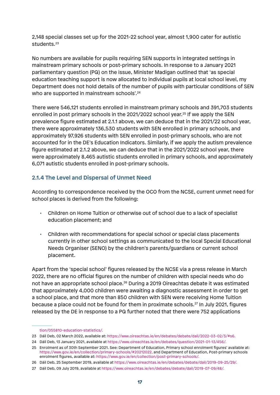2,148 special classes set up for the 2021-22 school year, almost 1,900 cater for autistic students.<sup>23</sup>

No numbers are available for pupils requiring SEN supports in integrated settings in mainstream primary schools or post-primary schools. In response to a January 2021 parliamentary question (PQ) on the issue, Minister Madigan outlined that 'as special education teaching support is now allocated to individual pupils at local school level, my Department does not hold details of the number of pupils with particular conditions of SEN who are supported in mainstream schools'.<sup>24</sup>

There were 546,121 students enrolled in mainstream primary schools and 391,703 students enrolled in post primary schools in the 2021/2022 school year.25 If we apply the SEN prevalence figure estimated at 2.1.1 above, we can deduce that in the 2021/22 school year, there were approximately 136,530 students with SEN enrolled in primary schools, and approximately 97,926 students with SEN enrolled in post-primary schools, who are not accounted for in the DE's Education Indicators. Similarly, if we apply the autism prevalence figure estimated at 2.1.2 above, we can deduce that in the 2021/2022 school year, there were approximately 8,465 autistic students enrolled in primary schools, and approximately 6,071 autistic students enrolled in post-primary schools.

# **2.1.4 The Level and Dispersal of Unmet Need**

According to correspondence received by the OCO from the NCSE, current unmet need for school places is derived from the following:

- Children on Home Tuition or otherwise out of school due to a lack of specialist education placement; and
- Children with recommendations for special school or special class placements currently in other school settings as communicated to the local Special Educational Needs Organiser (SENO) by the children's parents/guardians or current school placement.

Apart from the 'special school' figures released by the NCSE via a press release in March 2022, there are no official figures on the number of children with special needs who do not have an appropriate school place.<sup>26</sup> During a 2019 Oireachtas debate it was estimated that approximately 4,000 children were awaiting a diagnostic assessment in order to get a school place, and that more than 850 children with SEN were receiving Home Tuition because a place could not be found for them in proximate schools.27 In July 2021, figures released by the DE in response to a PQ further noted that there were 752 applications

tion/055810-education-statistics/.

<sup>23</sup> Dáil Deb, 02 March 2022, available at: https://www.oireachtas.ie/en/debates/debate/dail/2022-03-02/3/#s6.

<sup>24</sup> Dáil Deb, 13 January 2021, available at https://www.oireachtas.ie/en/debates/question/2021-01-13/456/.

<sup>25</sup> Enrolment as of 30th September 2021. See: Department of Education, Primary school enrolment figures' available at: https://www.gov.ie/en/collection/primary-schools/#20212022, and Department of Education, Post-primary schools enrolment figures, available at: https://www.gov.ie/en/collection/post-primary-schools/.

<sup>26</sup> Dáil Deb, 25 September 2019, available at https://www.oireachtas.ie/en/debates/debate/dail/2019-09-25/29/.

<sup>27</sup> Dáil Deb, 09 July 2019, available at https://www.oireachtas.ie/en/debates/debate/dail/2019-07-09/48/.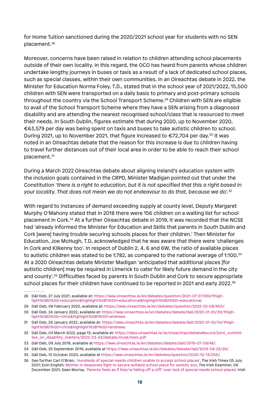for Home Tuition sanctioned during the 2020/2021 school year for students with no SEN placement.28

Moreover, concerns have been raised in relation to children attending school placements outside of their own locality. In this regard, the OCO has heard from parents whose children undertake lengthy journeys in buses or taxis as a result of a lack of dedicated school places, such as special classes, within their own communities. In an Oireachtas debate in 2022, the Minister for Education Norma Foley, T.D., stated that in the school year of 2021/2022, 15,500 children with SEN were transported on a daily basis to primary and post-primary schools throughout the country via the School Transport Scheme.29 Children with SEN are eligible to avail of the School Transport Scheme where they have a SEN arising from a diagnosed disability and are attending the nearest recognised school/class that is resourced to meet their needs. In South Dublin, figures estimate that during 2020, up to November 2020, €63,579 per day was being spent on taxis and buses to take autistic children to school. During 2021, up to November 2021, that figure increased to €72,704 per day.<sup>30</sup> It was noted in an Oireachtas debate that the reason for this increase is due to children having to travel further distances out of their local area in order to be able to reach their school placement.<sup>31</sup>

During a March 2022 Oireachtas debate about aligning Ireland's education system with the inclusion goals contained in the CRPD, Minister Madigan pointed out that under the Constitution *'there is a right to education, but it is not specified that this a right based in your locality. That does not mean we do not endeavour to do that, because we do'.*<sup>32</sup>

With regard to instances of demand exceeding supply at county level, Deputy Margaret Murphy O'Mahony stated that in 2018 there were 156 children on a waiting list for school placement in Cork.33 At a further Oireachtas debate in 2019, it was recorded that the NCSE had 'already informed the Minister for Education and Skills that parents in South Dublin and Cork [were] having trouble securing schools places for their children.' Then Minister for Education, Joe McHugh, T.D, acknowledged that he was aware that there were 'challenges in Cork and Kilkenny too'. In respect of Dublin 2, 4, 6 and 6W, the ratio of available places to autistic children was stated to be 1:782, as compared to the national average of 1:100.34 At a 2020 Oireachtas debate Minister Madigan 'anticipated that additional places [for autistic children] may be required in Limerick to cater for likely future demand in the city and county'.35 Difficulties faced by parents in South Dublin and Cork to secure appropriate school places for their children have continued to be reported in 2021 and early 2022.<sup>36</sup>

<sup>28</sup> Dáil Deb, 27 July 2021, available at: https://www.oireachtas.ie/en/debates/question/2021-07-27/930/?highlight%5B0%5D=education&highlight%5B1%5D=educational&highlight%5B2%5D=educational.

<sup>29</sup> Dáil Deb, 08 February 2022, available at: https://www.oireachtas.ie/en/debates/question/2022-02-08/400/.

<sup>30</sup> Dáil Deb, 24 January 2022, available at: https://www.oireachtas.ie/en/debates/debate/dail/2022-01-20/30/?highlight%5B0%5D=chris&highlight%5B1%5D=andrews.

<sup>31</sup> Dáil Deb, 24 January 2022, available at: https://www.oireachtas.ie/en/debates/debate/dail/2022-01-20/30/?highlight%5B0%5D=chris&highlight%5B1%5D=andrews.

<sup>32</sup> Dáil Deb, 03 March 2022, page 13, available at: https://data.oireachtas.ie/ie/oireachtas/debateRecord/joint\_committee\_on\_disability\_matters/2022-03-03/debate/mul@/main.pdf

<sup>33</sup> Dáil Deb, 09 July 2019, available at https://www.oireachtas.ie/en/debates/debate/dail/2019-07-09/48/.

<sup>34</sup> Dáil Deb, 25 September 2019, available at https://www.oireachtas.ie/en/debates/debate/dail/2019-09-25/29/.

<sup>35</sup> Dáil Deb, 13 October 2020, available at https://www.oireachtas.ie/en/debates/question/2020-10-13/255/.

<sup>36</sup> See further Carl O'Brien, 'Hundreds of special-needs children unable to access school places', The Irish Times 05 July 2021; Eoin English, Mother in desperate fight to secure suitable school place for autistic son, The Irish Examiner, 06 December 2021; Sean Murray, 'Parents feels as if they're falling off a cliff' over lack of special needs school places' Irish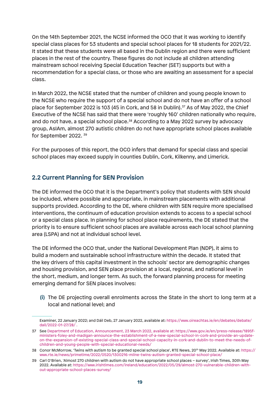On the 14th September 2021, the NCSE informed the OCO that it was working to identify special class places for 53 students and special school places for 18 students for 2021/22. It stated that these students were all based in the Dublin region and there were sufficient places in the rest of the country. These figures do not include all children attending mainstream school receiving Special Education Teacher (SET) supports but with a recommendation for a special class, or those who are awaiting an assessment for a special class.

In March 2022, the NCSE stated that the number of children and young people known to the NCSE who require the support of a special school and do not have an offer of a school place for September 2022 is 103 (45 in Cork, and 58 in Dublin).<sup>37</sup> As of May 2022, the Chief Executive of the NCSE has said that there were 'roughly 160' children nationally who require, and do not have, a special school place.<sup>38</sup> According to a May 2022 survey by advocacy group, AsIAm, almost 270 autistic children do not have appropriate school places available for September 2022. 39

For the purposes of this report, the OCO infers that demand for special class and special school places may exceed supply in counties Dublin, Cork, Kilkenny, and Limerick.

# **2.2 Current Planning for SEN Provision**

The DE informed the OCO that it is the Department's policy that students with SEN should be included, where possible and appropriate, in mainstream placements with additional supports provided. According to the DE, where children with SEN require more specialised interventions, the continuum of education provision extends to access to a special school or a special class place. In planning for school place requirements, the DE stated that the priority is to ensure sufficient school places are available across each local school planning area (LSPA) and not at individual school level.

The DE informed the OCO that, under the National Development Plan (NDP), it aims to build a modern and sustainable school infrastructure within the decade. It stated that the key drivers of this capital investment in the schools' sector are demographic changes and housing provision, and SEN place provision at a local, regional, and national level in the short, medium, and longer term. As such, the forward planning process for meeting emerging demand for SEN places involves:

**(i)** The DE projecting overall enrolments across the State in the short to long term at a local and national level; and

Examiner, 22 January 2022; and Dáil Deb, 27 January 2022, available at: https://www.oireachtas.ie/en/debates/debate/ dail/2022-01-27/28/ .

<sup>37</sup> See Department of Education, Announcement, 23 March 2022, available at: https://www.gov.ie/en/press-release/1895fministers-foley-and-madigan-announce-the-establishment-of-a-new-special-school-in-cork-and-provide-an-updateon-the-expansion-of-existing-special-class-and-special-school-capacity-in-cork-and-dublin-to-meet-the-needs-ofchildren-and-young-people-with-special-educational-needs/

<sup>38</sup> Conor McMorrow, 'Twins with autism to be granted special school place', RTE News, 20th May 2022. Available at: https:// www.rte.ie/news/primetime/2022/0520/1300216-milne-twins-autism-granted-special-school-place/

<sup>39</sup> Carl O'Brien, 'Almost 270 children with autism do not have appropriate school places – survey', Irish Times, 30th May 2022. Available at: https://www.irishtimes.com/ireland/education/2022/05/29/almost-270-vulnerable-children-without-appropriate-school-places-survey/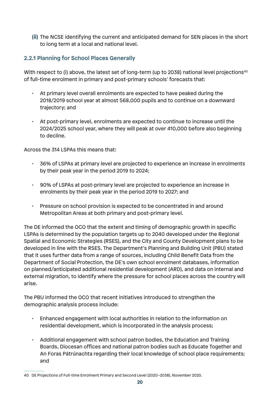**(ii)** The NCSE identifying the current and anticipated demand for SEN places in the short to long term at a local and national level.

## **2.2.1 Planning for School Places Generally**

With respect to (i) above, the latest set of long-term (up to 2038) national level projections<sup>40</sup> of full-time enrolment in primary and post-primary schools' forecasts that:

- At primary level overall enrolments are expected to have peaked during the 2018/2019 school year at almost 568,000 pupils and to continue on a downward trajectory; and
- At post-primary level, enrolments are expected to continue to increase until the 2024/2025 school year, where they will peak at over 410,000 before also beginning to decline.

Across the 314 LSPAs this means that:

- 36% of LSPAs at primary level are projected to experience an increase in enrolments by their peak year in the period 2019 to 2024;
- 90% of LSPAs at post-primary level are projected to experience an increase in enrolments by their peak year in the period 2019 to 2027; and
- Pressure on school provision is expected to be concentrated in and around Metropolitan Areas at both primary and post-primary level.

The DE informed the OCO that the extent and timing of demographic growth in specific LSPAs is determined by the population targets up to 2040 developed under the Regional Spatial and Economic Strategies (RSES), and the City and County Development plans to be developed in line with the RSES. The Department's Planning and Building Unit (PBU) stated that it uses further data from a range of sources, including Child Benefit Data from the Department of Social Protection, the DE's own school enrolment databases, information on planned/anticipated additional residential development (ARD), and data on internal and external migration, to identify where the pressure for school places across the country will arise.

The PBU informed the OCO that recent initiatives introduced to strengthen the demographic analysis process include:

- Enhanced engagement with local authorities in relation to the information on residential development, which is incorporated in the analysis process;
- Additional engagement with school patron bodies, the Education and Training Boards, Diocesan offices and national patron bodies such as Educate Together and An Foras Pátrúnachta regarding their local knowledge of school place requirements; and

<sup>40</sup> DE Projections of Full-time Enrolment Primary and Second Level (2020–2038), November 2020.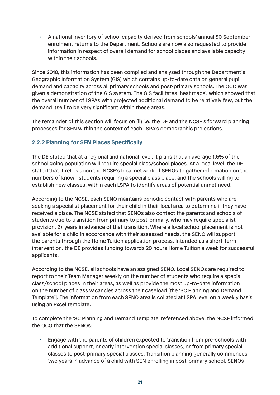• A national inventory of school capacity derived from schools' annual 30 September enrolment returns to the Department. Schools are now also requested to provide information in respect of overall demand for school places and available capacity within their schools.

Since 2018, this information has been compiled and analysed through the Department's Geographic Information System (GIS) which contains up-to-date data on general pupil demand and capacity across all primary schools and post-primary schools. The OCO was given a demonstration of the GIS system. The GIS facilitates 'heat maps', which showed that the overall number of LSPAs with projected additional demand to be relatively few, but the demand itself to be very significant within these areas.

The remainder of this section will focus on (ii) i.e. the DE and the NCSE's forward planning processes for SEN within the context of each LSPA's demographic projections.

## **2.2.2 Planning for SEN Places Specifically**

The DE stated that at a regional and national level, it plans that an average 1.5% of the school going population will require special class/school places. At a local level, the DE stated that it relies upon the NCSE's local network of SENOs to gather information on the numbers of known students requiring a special class place, and the schools willing to establish new classes, within each LSPA to identify areas of potential unmet need.

According to the NCSE, each SENO maintains periodic contact with parents who are seeking a specialist placement for their child in their local area to determine if they have received a place. The NCSE stated that SENOs also contact the parents and schools of students due to transition from primary to post-primary, who may require specialist provision, 2+ years in advance of that transition. Where a local school placement is not available for a child in accordance with their assessed needs, the SENO will support the parents through the Home Tuition application process. Intended as a short-term intervention, the DE provides funding towards 20 hours Home Tuition a week for successful applicants.

According to the NCSE, all schools have an assigned SENO. Local SENOs are required to report to their Team Manager weekly on the number of students who require a special class/school places in their areas, as well as provide the most up-to-date information on the number of class vacancies across their caseload [the 'SC Planning and Demand Template']. The information from each SENO area is collated at LSPA level on a weekly basis using an Excel template.

To complete the 'SC Planning and Demand Template' referenced above, the NCSE informed the OCO that the SENOs:

• Engage with the parents of children expected to transition from pre-schools with additional support, or early intervention special classes, or from primary special classes to post-primary special classes. Transition planning generally commences two years in advance of a child with SEN enrolling in post-primary school. SENOs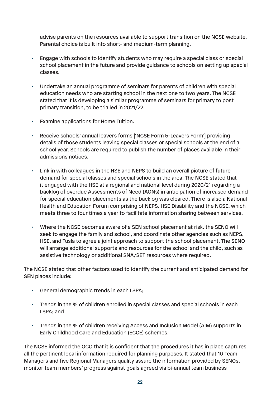advise parents on the resources available to support transition on the NCSE website. Parental choice is built into short- and medium-term planning.

- Engage with schools to identify students who may require a special class or special school placement in the future and provide guidance to schools on setting up special classes.
- Undertake an annual programme of seminars for parents of children with special education needs who are starting school in the next one to two years. The NCSE stated that it is developing a similar programme of seminars for primary to post primary transition, to be trialled in 2021/22.
- Examine applications for Home Tuition.
- Receive schools' annual leavers forms ['NCSE Form 5-Leavers Form'] providing details of those students leaving special classes or special schools at the end of a school year. Schools are required to publish the number of places available in their admissions notices.
- Link in with colleagues in the HSE and NEPS to build an overall picture of future demand for special classes and special schools in the area. The NCSE stated that it engaged with the HSE at a regional and national level during 2020/21 regarding a backlog of overdue Assessments of Need (AONs) in anticipation of increased demand for special education placements as the backlog was cleared. There is also a National Health and Education Forum comprising of NEPS, HSE Disability and the NCSE, which meets three to four times a year to facilitate information sharing between services.
- Where the NCSE becomes aware of a SEN school placement at risk, the SENO will seek to engage the family and school, and coordinate other agencies such as NEPS, HSE, and Tusla to agree a joint approach to support the school placement. The SENO will arrange additional supports and resources for the school and the child, such as assistive technology or additional SNA/SET resources where required.

The NCSE stated that other factors used to identify the current and anticipated demand for SEN places include:

- General demographic trends in each LSPA;
- Trends in the % of children enrolled in special classes and special schools in each LSPA; and
- Trends in the % of children receiving Access and Inclusion Model (AIM) supports in Early Childhood Care and Education (ECCE) schemes.

The NCSE informed the OCO that it is confident that the procedures it has in place captures all the pertinent local information required for planning purposes. It stated that 10 Team Managers and five Regional Managers quality assure the information provided by SENOs, monitor team members' progress against goals agreed via bi-annual team business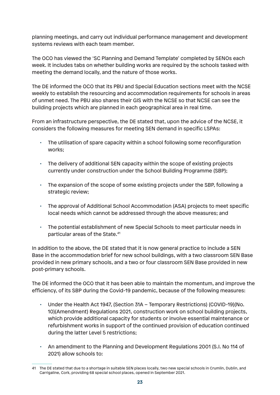planning meetings, and carry out individual performance management and development systems reviews with each team member.

The OCO has viewed the 'SC Planning and Demand Template' completed by SENOs each week. It includes tabs on whether building works are required by the schools tasked with meeting the demand locally, and the nature of those works.

The DE informed the OCO that its PBU and Special Education sections meet with the NCSE weekly to establish the resourcing and accommodation requirements for schools in areas of unmet need. The PBU also shares their GIS with the NCSE so that NCSE can see the building projects which are planned in each geographical area in real time.

From an infrastructure perspective, the DE stated that, upon the advice of the NCSE, it considers the following measures for meeting SEN demand in specific LSPAs:

- The utilisation of spare capacity within a school following some reconfiguration works;
- The delivery of additional SEN capacity within the scope of existing projects currently under construction under the School Building Programme (SBP);
- The expansion of the scope of some existing projects under the SBP, following a strategic review;
- The approval of Additional School Accommodation (ASA) projects to meet specific local needs which cannot be addressed through the above measures; and
- The potential establishment of new Special Schools to meet particular needs in particular areas of the State.<sup>41</sup>

In addition to the above, the DE stated that it is now general practice to include a SEN Base in the accommodation brief for new school buildings, with a two classroom SEN Base provided in new primary schools, and a two or four classroom SEN Base provided in new post-primary schools.

The DE informed the OCO that it has been able to maintain the momentum, and improve the efficiency, of its SBP during the Covid-19 pandemic, because of the following measures:

- Under the Health Act 1947, (Section 31A Temporary Restrictions) (COVID-19)(No. 10)(Amendment) Regulations 2021, construction work on school building projects, which provide additional capacity for students or involve essential maintenance or refurbishment works in support of the continued provision of education continued during the latter Level 5 restrictions;
- An amendment to the Planning and Development Regulations 2001 (S.I. No 114 of 2021) allow schools to:

<sup>41</sup> The DE stated that due to a shortage in suitable SEN places locally, two new special schools in Crumlin, Dublin, and Carrigaline, Cork, providing 68 special school places, opened in September 2021.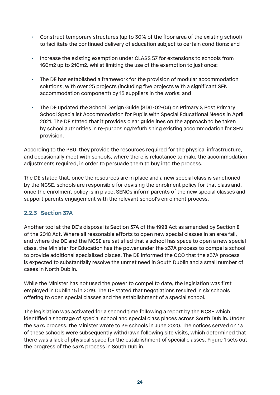- Construct temporary structures (up to 30% of the floor area of the existing school) to facilitate the continued delivery of education subject to certain conditions; and
- Increase the existing exemption under CLASS 57 for extensions to schools from 160m2 up to 210m2, whilst limiting the use of the exemption to just once;
- The DE has established a framework for the provision of modular accommodation solutions, with over 25 projects (including five projects with a significant SEN accommodation component) by 13 suppliers in the works; and
- The DE updated the School Design Guide (SDG-02-04) on Primary & Post Primary School Specialist Accommodation for Pupils with Special Educational Needs in April 2021. The DE stated that it provides clear guidelines on the approach to be taken by school authorities in re-purposing/refurbishing existing accommodation for SEN provision.

According to the PBU, they provide the resources required for the physical infrastructure, and occasionally meet with schools, where there is reluctance to make the accommodation adjustments required, in order to persuade them to buy into the process.

The DE stated that, once the resources are in place and a new special class is sanctioned by the NCSE, schools are responsible for devising the enrolment policy for that class and, once the enrolment policy is in place, SENOs inform parents of the new special classes and support parents engagement with the relevant school's enrolment process.

# **2.2.3 Section 37A**

Another tool at the DE's disposal is Section 37A of the 1998 Act as amended by Section 8 of the 2018 Act. Where all reasonable efforts to open new special classes in an area fail, and where the DE and the NCSE are satisfied that a school has space to open a new special class, the Minister for Education has the power under the s37A process to compel a school to provide additional specialised places. The DE informed the OCO that the s37A process is expected to substantially resolve the unmet need in South Dublin and a small number of cases in North Dublin.

While the Minister has not used the power to compel to date, the legislation was first employed in Dublin 15 in 2019. The DE stated that negotiations resulted in six schools offering to open special classes and the establishment of a special school.

The legislation was activated for a second time following a report by the NCSE which identified a shortage of special school and special class places across South Dublin. Under the s37A process, the Minister wrote to 39 schools in June 2020. The notices served on 13 of these schools were subsequently withdrawn following site visits, which determined that there was a lack of physical space for the establishment of special classes. Figure 1 sets out the progress of the s37A process in South Dublin.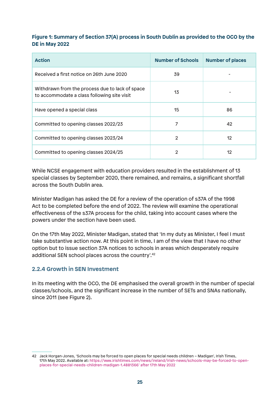#### **Figure 1: Summary of Section 37(A) process in South Dublin as provided to the OCO by the DE in May 2022**

| <b>Action</b>                                                                                  | <b>Number of Schools</b> | <b>Number of places</b> |
|------------------------------------------------------------------------------------------------|--------------------------|-------------------------|
| Received a first notice on 26th June 2020                                                      | 39                       |                         |
| Withdrawn from the process due to lack of space<br>to accommodate a class following site visit | 13                       |                         |
| Have opened a special class                                                                    | 15                       | 86                      |
| Committed to opening classes 2022/23                                                           | 7                        | 42                      |
| Committed to opening classes 2023/24                                                           | $\overline{2}$           | 12                      |
| Committed to opening classes 2024/25                                                           | 2                        | 12                      |

While NCSE engagement with education providers resulted in the establishment of 13 special classes by September 2020, there remained, and remains, a significant shortfall across the South Dublin area.

Minister Madigan has asked the DE for a review of the operation of s37A of the 1998 Act to be completed before the end of 2022. The review will examine the operational effectiveness of the s37A process for the child, taking into account cases where the powers under the section have been used.

On the 17th May 2022, Minister Madigan, stated that 'In my duty as Minister, I feel I must take substantive action now. At this point in time, I am of the view that I have no other option but to issue section 37A notices to schools in areas which desperately require additional SEN school places across the country'.42

#### **2.2.4 Growth in SEN Investment**

In its meeting with the OCO, the DE emphasised the overall growth in the number of special classes/schools, and the significant increase in the number of SETs and SNAs nationally, since 2011 (see Figure 2).

<sup>42</sup> Jack Horgan-Jones, 'Schools may be forced to open places for special needs children – Madigan', Irish Times, 17th May 2022. Available at: https://www.irishtimes.com/news/ireland/irish-news/schools-may-be-forced-to-openplaces-for-special-needs-children-madigan-1.4881366' after 17th May 2022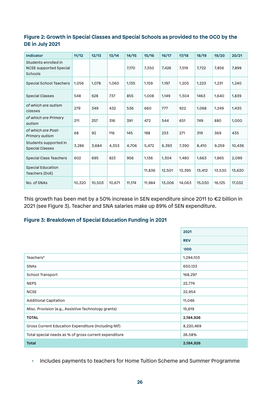#### **Figure 2: Growth in Special Classes and Special Schools as provided to the OCO by the DE in July 2021**

| <b>Indicator</b>                                                 | 11/12  | 12/13  | 13/14  | 14/15  | 15/16  | 16/17  | 17/18  | 18/19  | 19/20  | 20/21  |
|------------------------------------------------------------------|--------|--------|--------|--------|--------|--------|--------|--------|--------|--------|
| Students enrolled in<br><b>NCSE supported Special</b><br>Schools |        |        |        | 7.170  | 7,350  | 7,426  | 7,519  | 7,722  | 7,856  | 7,899  |
| <b>Special School Teachers</b>                                   | 1.056  | 1.078  | 1.060  | 1,135  | 1,159  | 1,197  | 1,205  | 1,223  | 1,231  | 1,240  |
| <b>Special Classes</b>                                           | 548    | 628    | 737    | 855    | 1.008  | 1.149  | 1.304  | 1463   | 1.640  | 1,839  |
| of which are autism<br>classes                                   | 279    | 349    | 432    | 536    | 660    | 777    | 922    | 1,068  | 1,249  | 1,435  |
| of which are Primary<br>autism                                   | 211    | 257    | 316    | 391    | 472    | 544    | 651    | 749    | 880    | 1,000  |
| of which are Post-<br>Primary autism                             | 68     | 92     | 116    | 145    | 188    | 233    | 271    | 319    | 369    | 435    |
| Students supported in<br><b>Special Classes</b>                  | 3,286  | 3.684  | 4,353  | 4.706  | 5,472  | 6,393  | 7,390  | 8,410  | 9,259  | 10,436 |
| <b>Special Class Teachers</b>                                    | 602    | 695    | 823    | 956    | 1,136  | 1,304  | 1.480  | 1,663  | 1,865  | 2,099  |
| <b>Special Education</b><br>Teachers (DoE)                       |        |        |        |        | 11,836 | 12,501 | 13,395 | 13,412 | 13,530 | 13,620 |
| No. of SNAs                                                      | 10,320 | 10.503 | 10.671 | 11,174 | 11,984 | 13,006 | 14,063 | 15,030 | 16,125 | 17,032 |

This growth has been met by a 50% increase in SEN expenditure since 2011 to €2 billion in 2021 (see Figure 3). Teacher and SNA salaries make up 89% of SEN expenditure.

#### **Figure 3: Breakdown of Special Education Funding in 2021**

|                                                       | 2021       |  |  |
|-------------------------------------------------------|------------|--|--|
|                                                       | <b>REV</b> |  |  |
|                                                       | '000       |  |  |
| Teachers*                                             | 1,294,103  |  |  |
| <b>SNAs</b>                                           | 650,133    |  |  |
| School Transport                                      | 168,297    |  |  |
| <b>NEPS</b>                                           | 22,774     |  |  |
| <b>NCSE</b>                                           | 22,954     |  |  |
| <b>Additional Capitation</b>                          | 11,046     |  |  |
| Misc. Provision (e.g., Assistive Technology grants)   | 15,619     |  |  |
| <b>TOTAL</b>                                          | 2,184,926  |  |  |
| Gross Current Education Expenditure (Including Ntf)   | 8,220,469  |  |  |
| Total special needs as % of gross current expenditure | 26.58%     |  |  |
| <b>Total</b>                                          | 2,184,926  |  |  |

• Includes payments to teachers for Home Tuition Scheme and Summer Programme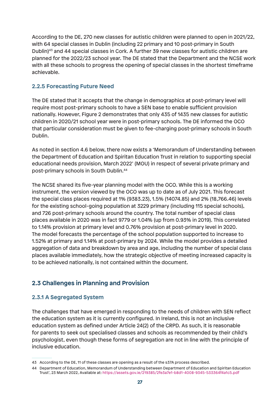According to the DE, 270 new classes for autistic children were planned to open in 2021/22, with 64 special classes in Dublin (including 22 primary and 10 post-primary in South Dublin)43 and 44 special classes in Cork. A further 39 new classes for autistic children are planned for the 2022/23 school year. The DE stated that the Department and the NCSE work with all these schools to progress the opening of special classes in the shortest timeframe achievable.

## **2.2.5 Forecasting Future Need**

The DE stated that it accepts that the change in demographics at post-primary level will require most post-primary schools to have a SEN base to enable sufficient provision nationally. However, Figure 2 demonstrates that only 435 of 1435 new classes for autistic children in 2020/21 school year were in post-primary schools. The DE informed the OCO that particular consideration must be given to fee-charging post-primary schools in South Dublin.

As noted in section 4.6 below, there now exists a 'Memorandum of Understanding between the Department of Education and Spiritan Education Trust in relation to supporting special educational needs provision, March 2022' (MOU) in respect of several private primary and post-primary schools in South Dublin.44

The NCSE shared its five-year planning model with the OCO. While this is a working instrument, the version viewed by the OCO was up to date as of July 2021. This forecast the special class places required at 1% (9383.23), 1.5% (14074.85) and 2% (18,766.46) levels for the existing school-going population at 3229 primary (including 115 special schools), and 726 post-primary schools around the country. The total number of special class places available in 2020 was in fact 9779 or 1.04% (up from 0.93% in 2019). This correlated to 1.14% provision at primary level and 0.76% provision at post-primary level in 2020. The model forecasts the percentage of the school population supported to increase to 1.52% at primary and 1.14% at post-primary by 2024. While the model provides a detailed aggregation of data and breakdown by area and age, including the number of special class places available immediately, how the strategic objective of meeting increased capacity is to be achieved nationally, is not contained within the document.

# **2.3 Challenges in Planning and Provision**

# **2.3.1 A Segregated System**

The challenges that have emerged in responding to the needs of children with SEN reflect the education system as it is currently configured. In Ireland, this is not an inclusive education system as defined under Article 24(2) of the CRPD. As such, it is reasonable for parents to seek out specialised classes and schools as recommended by their child's psychologist, even though these forms of segregation are not in line with the principle of inclusive education.

<sup>43</sup> According to the DE, 11 of these classes are opening as a result of the s37A process described.

<sup>44</sup> Department of Education, Memorandum of Understanding between Department of Education and Spiritan Education Trust', 23 March 2022, Available at: https://assets.gov.ie/219385/2fe3a7e1-b8d1-4008-9345-533364f4a1c5.pdf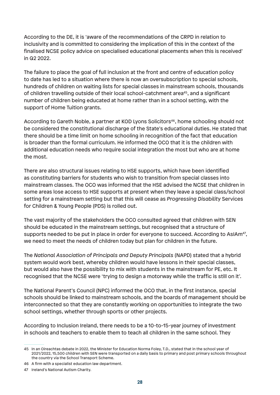According to the DE, it is 'aware of the recommendations of the CRPD in relation to inclusivity and is committed to considering the implication of this in the context of the finalised NCSE policy advice on specialised educational placements when this is received' in Q2 2022.

The failure to place the goal of full inclusion at the front and centre of education policy to date has led to a situation where there is now an oversubscription to special schools, hundreds of children on waiting lists for special classes in mainstream schools, thousands of children travelling outside of their local school-catchment area<sup>45</sup>, and a significant number of children being educated at home rather than in a school setting, with the support of Home Tuition grants.

According to Gareth Noble, a partner at KOD Lyons Solicitors<sup>46</sup>, home schooling should not be considered the constitutional discharge of the State's educational duties. He stated that there should be a time limit on home schooling in recognition of the fact that education is broader than the formal curriculum. He informed the OCO that it is the children with additional education needs who require social integration the most but who are at home the most.

There are also structural issues relating to HSE supports, which have been identified as constituting barriers for students who wish to transition from special classes into mainstream classes. The OCO was informed that the HSE advised the NCSE that children in some areas lose access to HSE supports at present when they leave a special class/school setting for a mainstream setting but that this will cease as *Progressing Disability* Services for Children & Young People (PDS) is rolled out.

The vast majority of the stakeholders the OCO consulted agreed that children with SEN should be educated in the mainstream settings, but recognised that a structure of supports needed to be put in place in order for everyone to succeed. According to AsIAm<sup>47</sup>, we need to meet the needs of children today but plan for children in the future.

The *National Association of Principals and Deputy Principals* (NAPD) stated that a hybrid system would work best, whereby children would have lessons in their special classes, but would also have the possibility to mix with students in the mainstream for PE, etc. It recognised that the NCSE were 'trying to design a motorway while the traffic is still on it'.

The National Parent's Council (NPC) informed the OCO that, in the first instance, special schools should be linked to mainstream schools, and the boards of management should be interconnected so that they are constantly working on opportunities to integrate the two school settings, whether through sports or other projects.

According to Inclusion Ireland, there needs to be a 10-to-15-year journey of investment in schools and teachers to enable them to teach all children in the same school. They

<sup>45</sup> In an Oireachtas debate in 2022, the Minister for Education Norma Foley, T.D., stated that in the school year of 2021/2022, 15,500 children with SEN were transported on a daily basis to primary and post primary schools throughout the country via the School Transport Scheme.

<sup>46</sup> A firm with a specialist education law department.

<sup>47</sup> Ireland's National Autism Charity.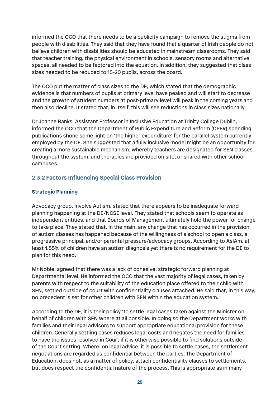informed the OCO that there needs to be a publicity campaign to remove the stigma from people with disabilities. They said that they have found that a quarter of Irish people do not believe children with disabilities should be educated in mainstream classrooms. They said that teacher training, the physical environment in schools, sensory rooms and alternative spaces, all needed to be factored into the equation. In addition, they suggested that class sizes needed to be reduced to 15-20 pupils, across the board.

The OCO put the matter of class sizes to the DE, which stated that the demographic evidence is that numbers of pupils at primary level have peaked and will start to decrease and the growth of student numbers at post-primary level will peak in the coming years and then also decline. It stated that, in itself, this will see reductions in class sizes nationally.

Dr Joanne Banks, Assistant Professor in Inclusive Education at Trinity College Dublin, informed the OCO that the Department of Public Expenditure and Reform (DPER) spending publications shone some light on 'the higher expenditure' for the parallel system currently employed by the DE. She suggested that a fully inclusive model might be an opportunity for creating a more sustainable mechanism, whereby teachers are designated for SEN classes throughout the system, and therapies are provided on site, or shared with other school campuses.

## **2.3.2 Factors Influencing Special Class Provision**

#### **Strategic Planning**

Advocacy group, Involve Autism, stated that there appears to be inadequate forward planning happening at the DE/NCSE level. They stated that schools seem to operate as independent entities, and that Boards of Management ultimately hold the power for change to take place. They stated that, in the main, any change that has occurred in the provision of autism classes has happened because of the willingness of a school to open a class, a progressive principal, and/or parental pressure/advocacy groups. According to AsIAm, at least 1.55% of children have an autism diagnosis yet there is no requirement for the DE to plan for this need.

Mr Noble, agreed that there was a lack of cohesive, strategic forward planning at Departmental level. He informed the OCO that the vast majority of legal cases, taken by parents with respect to the suitability of the education place offered to their child with SEN, settled outside of court with confidentiality clauses attached. He said that, in this way, no precedent is set for other children with SEN within the education system.

According to the DE, it is their policy 'to settle legal cases taken against the Minister on behalf of children with SEN where at all possible. In doing so the Department works with families and their legal advisors to support appropriate educational provision for these children. Generally settling cases reduces legal costs and negates the need for families to have the issues resolved in Court if it is otherwise possible to find solutions outside of the Court setting. Where, on legal advice, it is possible to settle cases, the settlement negotiations are regarded as confidential between the parties. The Department of Education, does not, as a matter of policy, attach confidentiality clauses to settlements, but does respect the confidential nature of the process. This is appropriate as in many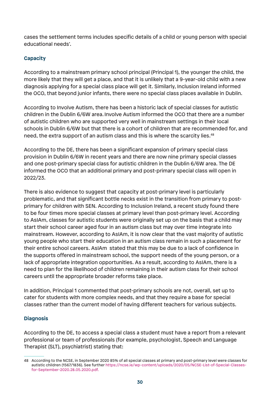cases the settlement terms includes specific details of a child or young person with special educational needs'.

#### **Capacity**

According to a mainstream primary school principal (Principal 1), the younger the child, the more likely that they will get a place, and that it is unlikely that a 9-year-old child with a new diagnosis applying for a special class place will get it. Similarly, Inclusion Ireland informed the OCO, that beyond junior infants, there were no special class places available in Dublin.

According to Involve Autism, there has been a historic lack of special classes for autistic children in the Dublin 6/6W area. Involve Autism informed the OCO that there are a number of autistic children who are supported very well in mainstream settings in their local schools in Dublin 6/6W but that there is a cohort of children that are recommended for, and need, the extra support of an autism class and this is where the scarcity lies.<sup>48</sup>

According to the DE, there has been a significant expansion of primary special class provision in Dublin 6/6W in recent years and there are now nine primary special classes and one post-primary special class for autistic children in the Dublin 6/6W area. The DE informed the OCO that an additional primary and post-primary special class will open in 2022/23.

There is also evidence to suggest that capacity at post-primary level is particularly problematic, and that significant bottle necks exist in the transition from primary to postprimary for children with SEN. According to Inclusion Ireland, a recent study found there to be four times more special classes at primary level than post-primary level. According to AsIAm, classes for autistic students were originally set up on the basis that a child may start their school career aged four in an autism class but may over time integrate into mainstream. However, according to AsIAm, it is now clear that the vast majority of autistic young people who start their education in an autism class remain in such a placement for their entire school careers. AsIAm stated that this may be due to a lack of confidence in the supports offered in mainstream school, the support needs of the young person, or a lack of appropriate integration opportunities. As a result, according to AsIAm, there is a need to plan for the likelihood of children remaining in their autism class for their school careers until the appropriate broader reforms take place.

In addition, Principal 1 commented that post-primary schools are not, overall, set up to cater for students with more complex needs, and that they require a base for special classes rather than the current model of having different teachers for various subjects.

#### **Diagnosis**

According to the DE, to access a special class a student must have a report from a relevant professional or team of professionals (for example, psychologist, Speech and Language Therapist (SLT), psychiatrist) stating that:

<sup>48</sup> According to the NCSE, in September 2020 85% of all special classes at primary and post-primary level were classes for autistic children (1567/1836). See further https://ncse.ie/wp-content/uploads/2020/05/NCSE-List-of-Special-Classesfor-September-2020.28.05.2020.pdf.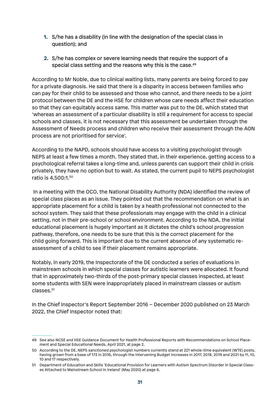- **1.** S/he has a disability (in line with the designation of the special class in question); and
- **2.** S/he has complex or severe learning needs that require the support of a special class setting and the reasons why this is the case.<sup>49</sup>

According to Mr Noble, due to clinical waiting lists, many parents are being forced to pay for a private diagnosis. He said that there is a disparity in access between families who can pay for their child to be assessed and those who cannot, and there needs to be a joint protocol between the DE and the HSE for children whose care needs affect their education so that they can equitably access same. This matter was put to the DE, which stated that 'whereas an assessment of a particular disability is still a requirement for access to special schools and classes, it is not necessary that this assessment be undertaken through the Assessment of Needs process and children who receive their assessment through the AON process are not prioritised for service'.

According to *the* NAPD, schools should have access to a visiting psychologist through NEPS at least a few times a month. They stated that, in their experience, getting access to a psychological referral takes a long-time and, unless parents can support their child in crisis privately, they have no option but to wait. As stated, the current pupil to NEPS psychologist ratio is 4,500:1.50

 In a meeting with the OCO, the National Disability Authority (NDA) identified the review of special class places as an issue. They pointed out that the recommendation on what is an appropriate placement for a child is taken by a health professional not connected to the school system. They said that these professionals may engage with the child in a clinical setting, not in their pre-school or school environment. According to the NDA, the initial educational placement is hugely important as it dictates the child's school progression pathway, therefore, one needs to be sure that this is the correct placement for the child going forward. This is important due to the current absence of any systematic reassessment of a child to see if their placement remains appropriate.

Notably, in early 2019, the Inspectorate of the DE conducted a series of evaluations in mainstream schools in which special classes for autistic learners were allocated. It found that in approximately two-thirds of the post-primary special classes inspected, at least some students with SEN were inappropriately placed in mainstream classes or autism classes.<sup>51</sup>

In the Chief Inspector's Report September 2016 – December 2020 published on 23 March 2022, the Chief Inspector noted that:

<sup>49</sup> See also NCSE and HSE Guidance Document for Health Professional Reports with Recommendations on School Placement and Special Educational Needs, April 2021, at page 2.

<sup>50</sup> According to the DE, NEPS sanctioned psychologist numbers currently stand at 221 whole-time equivalent (WTE) posts, having grown from a base of 173 in 2016, through the intervening Budget increases in 2017, 2018, 2019 and 2021 by 11, 10, 10 and 17 respectively.

<sup>51</sup> Department of Education and Skills 'Educational Provision for Learners with Autism Spectrum Disorder in Special Classes Attached to Mainstream School in Ireland' (May 2020) at page 6.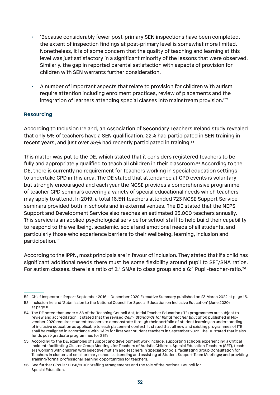- 'Because considerably fewer post-primary SEN inspections have been completed, the extent of inspection findings at post-primary level is somewhat more limited. Nonetheless, it is of some concern that the quality of teaching and learning at this level was just satisfactory in a significant minority of the lessons that were observed. Similarly, the gap in reported parental satisfaction with aspects of provision for children with SEN warrants further consideration.
- A number of important aspects that relate to provision for children with autism require attention including enrolment practices, review of placements and the integration of learners attending special classes into mainstream provision.'52

#### **Resourcing**

According to Inclusion Ireland, an Association of Secondary Teachers Ireland study revealed that only 5% of teachers have a SEN qualification, 22% had participated in SEN training in recent years, and just over 35% had recently participated in training.<sup>53</sup>

This matter was put to the DE, which stated that it considers registered teachers to be fully and appropriately qualified to teach all children in their classroom.<sup>54</sup> According to the DE, there is currently no requirement for teachers working in special education settings to undertake CPD in this area. The DE stated that attendance at CPD events is voluntary but strongly encouraged and each year the NCSE provides a comprehensive programme of teacher CPD seminars covering a variety of special educational needs which teachers may apply to attend. In 2019, a total 16,511 teachers attended 723 NCSE Support Service seminars provided both in schools and in external venues. The DE stated that the NEPS Support and Development Service also reaches an estimated 25,000 teachers annually. This service is an applied psychological service for school staff to help build their capability to respond to the wellbeing, academic, social and emotional needs of all students, and particularly those who experience barriers to their wellbeing, learning, inclusion and participation.55

According to the IPPN, most principals are in favour of inclusion. They stated that if a child has significant additional needs there must be some flexibility around pupil to SET/SNA ratios. For autism classes, there is a ratio of 2:1 SNAs to class group and a 6:1 Pupil-teacher-ratio.<sup>56</sup>

<sup>52</sup> Chief Inspector's Report September 2016 – December 2020 Executive Summary published on 23 March 2022,at page 15.

<sup>53</sup> Inclusion Ireland 'Submission to the National Council for Special Education on Inclusive Education' (June 2020) at page 8.

<sup>54</sup> The DE noted that under s.38 of the Teaching Council Act, Initial Teacher Education (ITE) programmes are subject to review and accreditation. It stated that the revised *Céim: Standards for Initial Teacher Education* published in November 2020 requires student teachers to demonstrate through their portfolio of student learning an understanding of inclusive education as applicable to each placement context. It stated that all new and existing programmes of ITE shall be realigned in accordance with *Céim* for first year student teachers in September 2022. The DE stated that it also funds post-graduate programmes for SETs.

<sup>55</sup> According to the DE, examples of support and development work include: supporting schools experiencing a Critical Incident; facilitating Cluster Group Meetings for Teachers of Autistic Children, Special Education Teachers (SET), teachers working with children with selective mutism and Teachers in Special Schools; facilitating Group Consultation for Teachers in clusters of small primary schools; attending and assisting at Student Support Team Meetings; and providing Training/formal professional learning opportunities for teachers.

<sup>56</sup> See further Circular 0038/2010: Staffing arrangements and the role of the National Council for Special Education.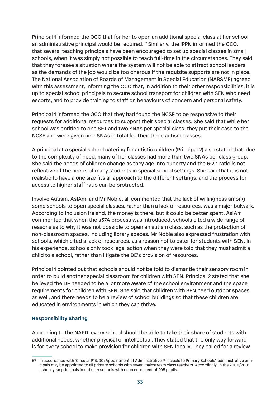Principal 1 informed the OCO that for her to open an additional special class at her school an administrative principal would be required.<sup>57</sup> Similarly, the IPPN informed the OCO, that several teaching principals have been encouraged to set up special classes in small schools, when it was simply not possible to teach full-time in the circumstances. They said that they foresee a situation where the system will not be able to attract school leaders as the demands of the job would be too onerous if the requisite supports are not in place. The National Association of Boards of Management in Special Education (NABSME) agreed with this assessment, informing the OCO that, in addition to their other responsibilities, it is up to special school principals to secure school transport for children with SEN who need escorts, and to provide training to staff on behaviours of concern and personal safety.

Principal 1 informed the OCO that they had found the NCSE to be responsive to their requests for additional resources to support their special classes. She said that while her school was entitled to one SET and two SNAs per special class, they put their case to the NCSE and were given nine SNAs in total for their three autism classes.

A principal at a special school catering for autistic children (Principal 2) also stated that, due to the complexity of need, many of her classes had more than two SNAs per class group. She said the needs of children change as they age into puberty and the 6:2:1 ratio is not reflective of the needs of many students in special school settings. She said that it is not realistic to have a one size fits all approach to the different settings, and the process for access to higher staff ratio can be protracted.

Involve Autism, AsIAm, and Mr Noble, all commented that the lack of willingness among some schools to open special classes, rather than a lack of resources, was a major bulwark. According to Inclusion Ireland, the money is there, but it could be better spent. AsIAm commented that when the s37A process was introduced, schools cited a wide range of reasons as to why it was not possible to open an autism class, such as the protection of non-classroom spaces, including library spaces. Mr Noble also expressed frustration with schools, which cited a lack of resources, as a reason not to cater for students with SEN. In his experience, schools only took legal action when they were told that they must admit a child to a school, rather than litigate the DE's provision of resources.

Principal 1 pointed out that schools should not be told to dismantle their sensory room in order to build another special classroom for children with SEN. Principal 2 stated that she believed the DE needed to be a lot more aware of the school environment and the space requirements for children with SEN. She said that children with SEN need outdoor spaces as well, and there needs to be a review of school buildings so that these children are educated in environments in which they can thrive.

#### **Responsibility Sharing**

According to the NAPD, every school should be able to take their share of students with additional needs, whether physical or intellectual. They stated that the only way forward is for every school to make provision for children with SEN locally. They called for a review

<sup>57</sup> In accordance with 'Circular P13/00: Appointment of Administrative Principals to Primary Schools' administrative principals may be appointed to all primary schools with seven mainstream class teachers. Accordingly, in the 2000/2001 school year principals in ordinary schools with or an enrolment of 205 pupils.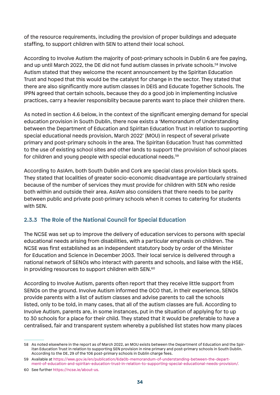of the resource requirements, including the provision of proper buildings and adequate staffing, to support children with SEN to attend their local school.

According to Involve Autism the majority of post-primary schools in Dublin 6 are fee paying, and up until March 2022, the DE did not fund autism classes in private schools.<sup>58</sup> Involve Autism stated that they welcome the recent announcement by the Spiritan Education Trust and hoped that this would be the catalyst for change in the sector. They stated that there are also significantly more autism classes in DEIS and Educate Together Schools. The IPPN agreed that certain schools, because they do a good job in implementing inclusive practices, carry a heavier responsiblity because parents want to place their children there.

As noted in section 4.6 below, in the context of the significant emerging demand for special education provision in South Dublin, there now exists a 'Memorandum of Understanding between the Department of Education and Spiritan Education Trust in relation to supporting special educational needs provision, March 2022' (MOU) in respect of several private primary and post-primary schools in the area. The Spiritan Education Trust has committed to the use of existing school sites and other lands to support the provision of school places for children and young people with special educational needs.<sup>59</sup>

According to AsIAm, both South Dublin and Cork are special class provision black spots. They stated that localities of greater socio-economic disadvantage are particularly strained because of the number of services they must provide for children with SEN who reside both within and outside their area. AsIAm also considers that there needs to be parity between public and private post-primary schools when it comes to catering for students with SEN.

# **2.3.3 The Role of the National Council for Special Education**

The NCSE was set up to improve the delivery of education services to persons with special educational needs arising from disabilities, with a particular emphasis on children. The NCSE was first established as an independent statutory body by order of the Minister for Education and Science in December 2003. Their local service is delivered through a national network of SENOs who interact with parents and schools, and liaise with the HSE, in providing resources to support children with SEN.<sup>60</sup>

According to Involve Autism, parents often report that they receive little support from SENOs on the ground. Involve Autism informed the OCO that, in their experience, SENOs provide parents with a list of autism classes and advise parents to call the schools listed, only to be told, in many cases, that all of the autism classes are full. According to Involve Autism, parents are, in some instances, put in the situation of applying for to up to 30 schools for a place for their child. They stated that it would be preferable to have a centralised, fair and transparent system whereby a published list states how many places

<sup>58</sup> As noted elsewhere in the report as of March 2022, an MOU exists between the Department of Education and the Spiritan Education Trust in relation to supporting SEN provision in nine primary and post-primary schools in South Dublin. According to the DE, 29 of the 106 post-primary schools in Dublin charge fees.

<sup>59</sup> Available at https://www.gov.ie/en/publication/6da0b-memorandum-of-understanding-between-the-department-of-education-and-spiritan-education-trust-in-relation-to-supporting-special-educational-needs-provision/.

<sup>60</sup> See further https://ncse.ie/about-us.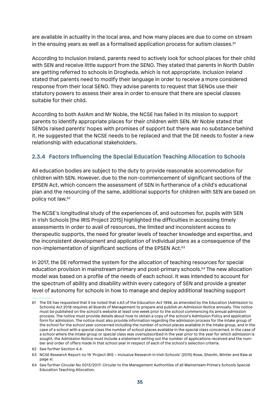are available in actuality in the local area, and how many places are due to come on stream in the ensuing years as well as a formalised application process for autism classes.<sup>61</sup>

According to Inclusion Ireland, parents need to actively look for school places for their child with SEN and receive little support from the SENO. They stated that parents in North Dublin are getting referred to schools in Drogheda, which is not appropriate. Inclusion Ireland stated that parents need to modify their language in order to receive a more considered response from their local SENO. They advise parents to request that SENOs use their statutory powers to assess their area in order to ensure that there are special classes suitable for their child.

According to both AsIAm and Mr Noble, the NCSE has failed in its mission to support parents to identify appropriate places for their children with SEN. Mr Noble stated that SENOs raised parents' hopes with promises of support but there was no substance behind it. He suggested that the NCSE needs to be replaced and that the DE needs to foster a new relationship with educational stakeholders.

## **2.3.4 Factors Influencing the Special Education Teaching Allocation to Schools**

All education bodies are subject to the duty to provide reasonable accommodation for children with SEN. However, due to the non-commencement of significant sections of the EPSEN Act, which concern the assessment of SEN in furtherance of a child's educational plan and the resourcing of the same, additional supports for children with SEN are based on policy not law.62

The NCSE's longitudinal study of the experiences of, and outcomes for, pupils with SEN in Irish Schools [the IRIS Project 2015] highlighted the difficulties in accessing timely assessments in order to avail of resources, the limited and inconsistent access to therapeutic supports, the need for greater levels of teacher knowledge and expertise, and the inconsistent development and application of individual plans as a consequence of the non-implementation of significant sections of the EPSEN Act.63

In 2017, the DE reformed the system for the allocation of teaching resources for special education provision in mainstream primary and post-primary schools.<sup>64</sup> The new allocation model was based on a profile of the needs of each school. It was intended to account for the spectrum of ability and disability within every category of SEN and provide a greater level of autonomy for schools in how to manage and deploy additional teaching support

<sup>61</sup> The DE has requested that it be noted that s.63 of the Education Act 1998, as amended by the Education (Admission to Schools) Act 2018 requires all Boards of Management to prepare and publish an Admission Notice annually. This notice must be published on the school's website at least one week prior to the school commencing its annual admission process. The notice must provide details about how to obtain a copy of the school's Admission Policy and application form for admission. The notice must also provide information regarding the admission process for the intake group of the school for the school year concerned including the number of school places available in the intake group, and in the case of a school with a special class the number of school places available in the special class concerned. In the case of a school where the intake group or special class was oversubscribed in the year prior to the year for which admission is sought, the Admission Notice must include a statement setting out the number of applications received and the number and order of offers made in that school year in respect of each of the school's selection criteria.

<sup>62</sup> See further Section 4.4.

<sup>63</sup> NCSE Research Report no 19 'Project IRIS – Inclusive Research in Irish Schools' (2015) Rose, Shevlin, Winter and Raw at page xi.

<sup>64</sup> See further Circular No 0013/2017: Circular to the Management Authorities of all Mainstream Primary Schools Special Education Teaching Allocation.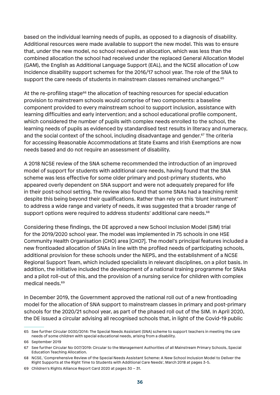based on the individual learning needs of pupils, as opposed to a diagnosis of disability. Additional resources were made available to support the new model. This was to ensure that, under the new model, no school received an allocation, which was less than the combined allocation the school had received under the replaced General Allocation Model (GAM), the English as Additional Language Support (EAL), and the NCSE allocation of Low Incidence disability support schemes for the 2016/17 school year. The role of the SNA to support the care needs of students in mainstream classes remained unchanged.<sup>65</sup>

At the re-profiling stage<sup>66</sup> the allocation of teaching resources for special education provision to mainstream schools would comprise of two components: a baseline component provided to every mainstream school to support inclusion, assistance with learning difficulties and early intervention; and a school educational profile component, which considered the number of pupils with complex needs enrolled to the school, the learning needs of pupils as evidenced by standardised test results in literacy and numeracy, and the social context of the school, including disadvantage and gender.<sup>67</sup> The criteria for accessing Reasonable Accommodations at State Exams and Irish Exemptions are now needs based and do not require an assessment of disability.

A 2018 NCSE review of the SNA scheme recommended the introduction of an improved model of support for students with additional care needs, having found that the SNA scheme was less effective for some older primary and post-primary students, who appeared overly dependent on SNA support and were not adequately prepared for life in their post-school setting. The review also found that some SNAs had a teaching remit despite this being beyond their qualifications. Rather than rely on this 'blunt instrument' to address a wide range and variety of needs, it was suggested that a broader range of support options were required to address students' additional care needs.<sup>68</sup>

Considering these findings, the DE approved a new School Inclusion Model (SIM) trial for the 2019/2020 school year. The model was implemented in 75 schools in one HSE Community Health Organisation (CHO) area [CHO7]. The model's principal features included a new frontloaded allocation of SNAs in line with the profiled needs of participating schools, additional provision for these schools under the NEPS, and the establishment of a NCSE Regional Support Team, which included specialists in relevant disciplines, on a pilot basis. In addition, the initiative included the development of a national training programme for SNAs and a pilot roll-out of this, and the provision of a nursing service for children with complex medical needs.69

In December 2019, the Government approved the national roll out of a new frontloading model for the allocation of SNA support to mainstream classes in primary and post-primary schools for the 2020/21 school year, as part of the phased roll out of the SIM. In April 2020, the DE issued a circular advising all recognised schools that, in light of the Covid-19 public

<sup>65</sup> See further Circular 0030/2014: The Special Needs Assistant (SNA) scheme to support teachers in meeting the care needs of some children with special educational needs, arising from a disability.

<sup>66</sup> September 2019

<sup>67</sup> See further Circular No 007/2019: Circular to the Management Authorities of all Mainstream Primary Schools, Special Education Teaching Allocation.

<sup>68</sup> NCSE, 'Comprehensive Review of the Special Needs Assistant Scheme: A New School Inclusion Model to Deliver the Right Supports at the Right Time to Students with Additional Care Needs', March 2018 at pages 3-5.

<sup>69</sup> Children's Rights Alliance Report Card 2020 at pages 30 – 31.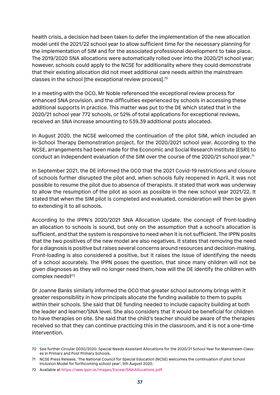health crisis, a decision had been taken to defer the implementation of the new allocation model until the 2021/22 school year to allow sufficient time for the necessary planning for the implementation of SIM and for the associated professional development to take place. The 2019/2020 SNA allocations were automatically rolled over into the 2020/21 school year; however, schools could apply to the NCSE for additionality where they could demonstrate that their existing allocation did not meet additional care needs within the mainstream classes in the school [the exceptional review process].70

In a meeting with the OCO, Mr Noble referenced the exceptional review process for enhanced SNA provision, and the difficulties experienced by schools in accessing these additional supports in practice. This matter was put to the DE which stated that in the 2020/21 school year 772 schools, or 52% of total applications for exceptional reviews, received an SNA increase amounting to 539.39 additional posts allocated.

In August 2020, the NCSE welcomed the continuation of the pilot SIM, which included an in-School Therapy Demonstration project, for the 2020/2021 school year. According to the NCSE, arrangements had been made for the Economic and Social Research Institute (ESRI) to conduct an independent evaluation of the SIM over the course of the 2020/21 school year.71

In September 2021, the DE informed the OCO that the 2021 Covid-19 restrictions and closure of schools further disrupted the pilot and, when schools fully reopened in April, it was not possible to resume the pilot due to absence of therapists. It stated that work was underway to allow the resumption of the pilot as soon as possible in the new school year 2021/22. It stated that when the SIM pilot is completed and evaluated, consideration will then be given to extending it to all schools.

According to the IPPN's 2020/2021 SNA Allocation Update, the concept of front-loading an allocation to schools is sound, but only on the assumption that a school's allocation is sufficient, and that the system is responsive to need when it is not sufficient. The IPPN posits that the two positives of the new model are also negatives. It states that removing the need for a diagnosis is positive but raises several concerns around resources and decision-making. Front-loading is also considered a positive, but it raises the issue of identifying the needs of a school accurately. The IPPN poses the question, that since many children will not be given diagnoses as they will no longer need them, how will the DE identify the children with complex needs?<sup>72</sup>

Dr Joanne Banks similarly informed the OCO that greater school autonomy brings with it greater responsibility in how principals allocate the funding available to them to pupils within their schools. She said that DE funding needed to include capacity building at both the leader and learner/SNA level. She also considers that it would be beneficial for children to have therapies on site. She said that the child's teacher should be aware of the therapies received so that they can continue practicing this in the classroom, and it is not a one-time intervention.

<sup>70</sup> See further Circular 0030/2020: Special Needs Assistant Allocations for the 2020/21 School Year for Mainstream Classes in Primary and Post Primary Schools.

<sup>71</sup> NCSE Press Release, 'The National Council for Special Education (NCSE) welcomes the continuation of pilot School Inclusion Model for forthcoming school year', 5th August 2020.

<sup>72</sup> Available at https://www.ippn.ie/images/Esceal/SNAAllocations.pdf.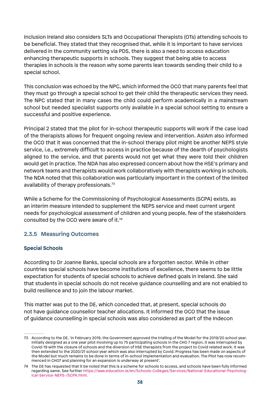Inclusion Ireland also considers SLTs and Occupational Therapists (OTs) attending schools to be beneficial. They stated that they recognised that, while it is important to have services delivered in the community setting via PDS, there is also a need to access education enhancing therapeutic supports in schools. They suggest that being able to access therapies in schools is the reason why some parents lean towards sending their child to a special school.

This conclusion was echoed by the NPC, which informed the OCO that many parents feel that they must go through a special school to get their child the therapeutic services they need. The NPC stated that in many cases the child could perform academically in a mainstream school but needed specialist supports only available in a special school setting to ensure a successful and positive experience.

Principal 2 stated that the pilot for in-school therapeutic supports will work if the case load of the therapists allows for frequent ongoing review and intervention. AsIAm also informed the OCO that it was concerned that the in-school therapy pilot might be another NEPS style service, i.e., extremely difficult to access in practice because of the dearth of psychologists aligned to the service, and that parents would not get what they were told their children would get in practice. The NDA has also expressed concern about how the HSE's primary and network teams and therapists would work collaboratively with therapists working in schools. The NDA noted that this collaboration was particularly important in the context of the limited availability of therapy professionals.73

While a Scheme for the Commissioning of Psychological Assessments (SCPA) exists, as an interim measure intended to supplement the NEPS service and meet current urgent needs for psychological assessment of children and young people, few of the stakeholders consulted by the OCO were aware of it.74

### **2.3.5 Measuring Outcomes**

### **Special Schools**

According to Dr Joanne Banks, special schools are a forgotten sector. While in other countries special schools have become institutions of excellence, there seems to be little expectation for students of special schools to achieve defined goals in Ireland. She said that students in special schools do not receive guidance counselling and are not enabled to build resilience and to join the labour market.

This matter was put to the DE, which conceded that, at present, special schools do not have guidance counsellor teacher allocations. It informed the OCO that the issue of guidance counselling in special schools was also considered as part of the Indecon

<sup>73</sup> According to the DE, 'in February 2019, the Government approved the trialling of the Model for the 2019/20 school year. Initially designed as a one year pilot involving up to 75 participating schools in the CHO 7 region, it was interrupted by Covid-19 with the closure of schools and the diversion of HSE therapists from the project to Covid related work. It was then extended to the 2020/21 school year which was also interrupted by Covid. Progress has been made on aspects of the Model but much remains to be done in terms of in-school implementation and evaluation. The Pilot has now recommenced in CHO7 and planning for an expansion is underway at present'.

<sup>74</sup> The DE has requested that it be noted that this is a scheme for schools to access, and schools have been fully informed regarding same. See further https://www.education.ie/en/Schools-Colleges/Services/National-Educational-Psychological-Service-NEPS-/SCPA.html.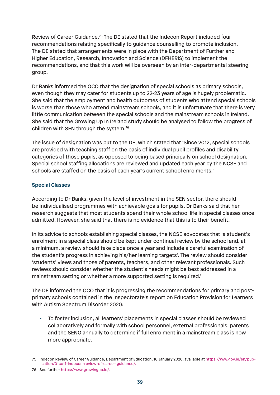Review of Career Guidance.75 The DE stated that the Indecon Report included four recommendations relating specifically to guidance counselling to promote inclusion. The DE stated that arrangements were in place with the Department of Further and Higher Education, Research, Innovation and Science (DFHERIS) to implement the recommendations, and that this work will be overseen by an inter-departmental steering group.

Dr Banks informed the OCO that the designation of special schools as primary schools, even though they may cater for students up to 22-23 years of age is hugely problematic. She said that the employment and health outcomes of students who attend special schools is worse than those who attend mainstream schools, and it is unfortunate that there is very little communication between the special schools and the mainstream schools in Ireland. She said that the Growing Up In Ireland study should be analysed to follow the progress of children with SEN through the system.76

The issue of designation was put to the DE, which stated that 'Since 2012, special schools are provided with teaching staff on the basis of individual pupil profiles and disability categories of those pupils, as opposed to being based principally on school designation. Special school staffing allocations are reviewed and updated each year by the NCSE and schools are staffed on the basis of each year's current school enrolments.'

### **Special Classes**

According to Dr Banks, given the level of investment in the SEN sector, there should be individualised programmes with achievable goals for pupils. Dr Banks said that her research suggests that most students spend their whole school life in special classes once admitted. However, she said that there is no evidence that this is to their benefit.

In its advice to schools establishing special classes, the NCSE advocates that 'a student's enrolment in a special class should be kept under continual review by the school and, at a minimum, a review should take place once a year and include a careful examination of the student's progress in achieving his/her learning targets'. The review should consider 'students' views and those of parents, teachers, and other relevant professionals. Such reviews should consider whether the student's needs might be best addressed in a mainstream setting or whether a more supported setting is required.'

The DE informed the OCO that it is progressing the recommendations for primary and postprimary schools contained in the Inspectorate's report on Education Provision for Learners with Autism Spectrum Disorder 2020:

• To foster inclusion, all learners' placements in special classes should be reviewed collaboratively and formally with school personnel, external professionals, parents and the SENO annually to determine if full enrolment in a mainstream class is now more appropriate.

<sup>75</sup> Indecon Review of Career Guidance, Department of Education, 16 January 2020, available at https://www.gov.ie/en/publication/01ce11-indecon-review-of-career-guidance/.

<sup>76</sup> See further https://www.growingup.ie/.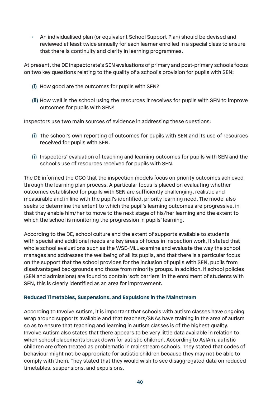• An individualised plan (or equivalent School Support Plan) should be devised and reviewed at least twice annually for each learner enrolled in a special class to ensure that there is continuity and clarity in learning programmes.

At present, the DE Inspectorate's SEN evaluations of primary and post-primary schools focus on two key questions relating to the quality of a school's provision for pupils with SEN:

- **(i)** How good are the outcomes for pupils with SEN?
- **(ii)** How well is the school using the resources it receives for pupils with SEN to improve outcomes for pupils with SEN?

Inspectors use two main sources of evidence in addressing these questions:

- **(i)** The school's own reporting of outcomes for pupils with SEN and its use of resources received for pupils with SEN.
- **(i)** Inspectors' evaluation of teaching and learning outcomes for pupils with SEN and the school's use of resources received for pupils with SEN.

The DE informed the OCO that the inspection models focus on priority outcomes achieved through the learning plan process. A particular focus is placed on evaluating whether outcomes established for pupils with SEN are sufficiently challenging, realistic and measurable and in line with the pupil's identified, priority learning need. The model also seeks to determine the extent to which the pupil's learning outcomes are progressive, in that they enable him/her to move to the next stage of his/her learning and the extent to which the school is monitoring the progression in pupils' learning.

According to the DE, school culture and the extent of supports available to students with special and additional needs are key areas of focus in inspection work. It stated that whole school evaluations such as the WSE-MLL examine and evaluate the way the school manages and addresses the wellbeing of all its pupils, and that there is a particular focus on the support that the school provides for the inclusion of pupils with SEN, pupils from disadvantaged backgrounds and those from minority groups. In addition, if school policies (SEN and admissions) are found to contain 'soft barriers' in the enrolment of students with SEN, this is clearly identified as an area for improvement.

#### **Reduced Timetables, Suspensions, and Expulsions in the Mainstream**

According to Involve Autism, it is important that schools with autism classes have ongoing wrap around supports available and that teachers/SNAs have training in the area of autism so as to ensure that teaching and learning in autism classes is of the highest quality. Involve Autism also states that there appears to be very little data available in relation to when school placements break down for autistic children. According to AsIAm, autistic children are often treated as problematic in mainstream schools. They stated that codes of behaviour might not be appropriate for autistic children because they may not be able to comply with them. They stated that they would wish to see disaggregated data on reduced timetables, suspensions, and expulsions.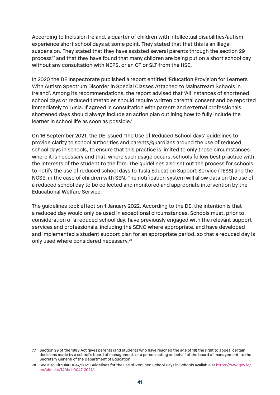According to Inclusion Ireland, a quarter of children with intellectual disabilities/autism experience short school days at some point. They stated that that this is an illegal suspension. They stated that they have assisted several parents through the section 29 process<sup>77</sup> and that they have found that many children are being put on a short school day without any consultation with NEPS, or an OT or SLT from the HSE.

In 2020 the DE Inspectorate published a report entitled 'Education Provision for Learners With Autism Spectrum Disorder in Special Classes Attached to Mainstream Schools in Ireland'. Among its recommendations, the report advised that 'All instances of shortened school days or reduced timetables should require written parental consent and be reported immediately to Tusla. If agreed in consultation with parents and external professionals, shortened days should always include an action plan outlining how to fully include the learner in school life as soon as possible.'

On 16 September 2021, the DE issued 'The Use of Reduced School days' guidelines to provide clarity to school authorities and parents/guardians around the use of reduced school days in schools, to ensure that this practice is limited to only those circumstances where it is necessary and that, where such usage occurs, schools follow best practice with the interests of the student to the fore. The guidelines also set out the process for schools to notify the use of reduced school days to Tusla Education Support Service (TESS) and the NCSE, in the case of children with SEN. The notification system will allow data on the use of a reduced school day to be collected and monitored and appropriate intervention by the Educational Welfare Service.

The guidelines took effect on 1 January 2022. According to the DE, the intention is that a reduced day would only be used in exceptional circumstances. Schools must, prior to consideration of a reduced school day, have previously engaged with the relevant support services and professionals, including the SENO where appropriate, and have developed and implemented a student support plan for an appropriate period, so that a reduced day is only used where considered necessary.78

<sup>77</sup> Section 29 of the 1998 Act gives parents (and students who have reached the age of 18) the right to appeal certain decisions made by a school's board of management, or a person acting on behalf of the board of management, to the Secretary General of the Department of Education.

<sup>78</sup> See also Circular 0047/2021 Guidelines for the use of Reduced School Days in Schools available at https://www.gov.ie/ en/circular/f49bd-0047-2021/.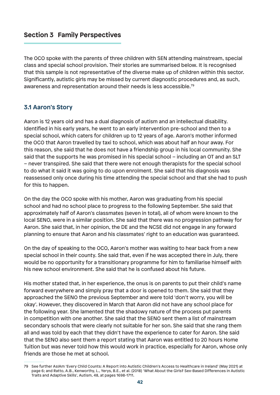# **Section 3 Family Perspectives**

The OCO spoke with the parents of three children with SEN attending mainstream, special class and special school provision. Their stories are summarised below. It is recognised that this sample is not representative of the diverse make up of children within this sector. Significantly, autistic girls may be missed by current diagnostic procedures and, as such, awareness and representation around their needs is less accessible.79

### **3.1 Aaron's Story**

Aaron is 12 years old and has a dual diagnosis of autism and an intellectual disability. Identified in his early years, he went to an early intervention pre-school and then to a special school, which caters for children up to 12 years of age. Aaron's mother informed the OCO that Aaron travelled by taxi to school, which was about half an hour away. For this reason, she said that he does not have a friendship group in his local community. She said that the supports he was promised in his special school – including an OT and an SLT – never transpired. She said that there were not enough therapists for the special school to do what it said it was going to do upon enrolment. She said that his diagnosis was reassessed only once during his time attending the special school and that she had to push for this to happen.

On the day the OCO spoke with his mother, Aaron was graduating from his special school and had no school place to progress to the following September. She said that approximately half of Aaron's classmates (seven in total), all of whom were known to the local SENO, were in a similar position. She said that there was no progression pathway for Aaron. She said that, in her opinion, the DE and the NCSE did not engage in any forward planning to ensure that Aaron and his classmates' right to an education was guaranteed.

On the day of speaking to the OCO, Aaron's mother was waiting to hear back from a new special school in their county. She said that, even if he was accepted there in July, there would be no opportunity for a transitionary programme for him to familiarise himself with his new school environment. She said that he is confused about his future.

His mother stated that, in her experience, the onus is on parents to put their child's name forward everywhere and simply pray that a door is opened to them. She said that they approached the SENO the previous September and were told 'don't worry, you will be okay'. However, they discovered in March that Aaron did not have any school place for the following year. She lamented that the shadowy nature of the process put parents in competition with one another. She said that the SENO sent them a list of mainstream secondary schools that were clearly not suitable for her son. She said that she rang them all and was told by each that they didn't have the experience to cater for Aaron. She said that the SENO also sent them a report stating that Aaron was entitled to 20 hours Home Tuition but was never told how this would work in practice, especially for Aaron, whose only friends are those he met at school.

<sup>79</sup> See further AsIAm 'Every Child Counts: A Report into Autistic Children's Access to Healthcare in Ireland' (May 2021) at page 6; and Ratto, A.B., Kenworthy, L., Yerys, B.E., et al. (2018) 'What About the Girls? Sex-Based Differences in Autistic Traits and Adaptive Skills', Autism, 48, at pages 1698-1711.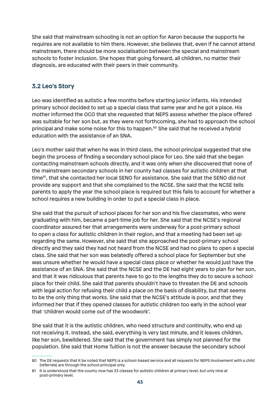She said that mainstream schooling is not an option for Aaron because the supports he requires are not available to him there. However, she believes that, even if he cannot attend mainstream, there should be more socialisation between the special and mainstream schools to foster inclusion. She hopes that going forward, all children, no matter their diagnosis, are educated with their peers in their community.

### **3.2 Leo's Story**

Leo was identified as autistic a few months before starting junior infants. His intended primary school decided to set up a special class that same year and he got a place. His mother informed the OCO that she requested that NEPS assess whether the place offered was suitable for her son but, as they were not forthcoming, she had to approach the school principal and make some noise for this to happen.<sup>80</sup> She said that he received a hybrid education with the assistance of an SNA.

Leo's mother said that when he was in third class, the school principal suggested that she begin the process of finding a secondary school place for Leo. She said that she began contacting mainstream schools directly, and it was only when she discovered that none of the mainstream secondary schools in her county had classes for autistic children at that time<sup>81</sup>, that she contacted her local SENO for assistance. She said that the SENO did not provide any support and that she complained to the NCSE. She said that the NCSE tells parents to apply the year the school place is required but this fails to account for whether a school requires a new building in order to put a special class in place.

She said that the pursuit of school places for her son and his five classmates, who were graduating with him, became a part-time job for her. She said that the NCSE's regional coordinator assured her that arrangements were underway for a post-primary school to open a class for autistic children in their region, and that a meeting had been set up regarding the same. However, she said that she approached the post-primary school directly and they said they had not heard from the NCSE and had no plans to open a special class. She said that her son was belatedly offered a school place for September but she was unsure whether he would have a special class place or whether he would just have the assistance of an SNA. She said that the NCSE and the DE had eight years to plan for her son, and that it was ridiculous that parents have to go to the lengths they do to secure a school place for their child. She said that parents shouldn't have to threaten the DE and schools with legal action for refusing their child a place on the basis of disability, but that seems to be the only thing that works. She said that the NCSE's attitude is poor, and that they informed her that if they opened classes for autistic children too early in the school year that 'children would come out of the woodwork'.

She said that it is the autistic children, who need structure and continuity, who end up not receiving it. Instead, she said, everything is very last minute, and it leaves children, like her son, bewildered. She said that the government has simply not planned for the population. She said that Home Tuition is not the answer because the secondary school

<sup>80</sup> The DE requests that it be noted that NEPS is a school-based service and all requests for NEPS involvement with a child (referrals) are through the school principal only.

<sup>81</sup> It is understood that the county now has 33 classes for autistic children at primary level, but only nine at post-primary level.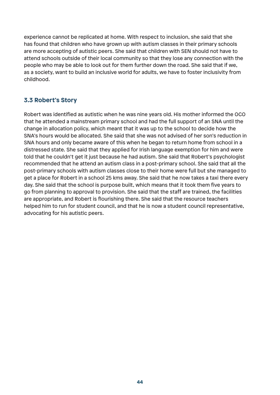experience cannot be replicated at home. With respect to inclusion, she said that she has found that children who have grown up with autism classes in their primary schools are more accepting of autistic peers. She said that children with SEN should not have to attend schools outside of their local community so that they lose any connection with the people who may be able to look out for them further down the road. She said that if we, as a society, want to build an inclusive world for adults, we have to foster inclusivity from childhood.

# **3.3 Robert's Story**

Robert was identified as autistic when he was nine years old. His mother informed the OCO that he attended a mainstream primary school and had the full support of an SNA until the change in allocation policy, which meant that it was up to the school to decide how the SNA's hours would be allocated. She said that she was not advised of her son's reduction in SNA hours and only became aware of this when he began to return home from school in a distressed state. She said that they applied for Irish language exemption for him and were told that he couldn't get it just because he had autism. She said that Robert's psychologist recommended that he attend an autism class in a post-primary school. She said that all the post-primary schools with autism classes close to their home were full but she managed to get a place for Robert in a school 25 kms away. She said that he now takes a taxi there every day. She said that the school is purpose built, which means that it took them five years to go from planning to approval to provision. She said that the staff are trained, the facilities are appropriate, and Robert is flourishing there. She said that the resource teachers helped him to run for student council, and that he is now a student council representative, advocating for his autistic peers.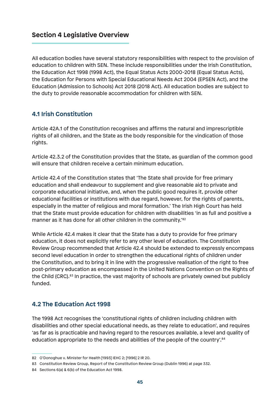## **Section 4 Legislative Overview**

All education bodies have several statutory responsibilities with respect to the provision of education to children with SEN. These include responsibilities under the Irish Constitution, the Education Act 1998 (1998 Act), the Equal Status Acts 2000-2018 (Equal Status Acts), the Education for Persons with Special Educational Needs Act 2004 (EPSEN Act), and the Education (Admission to Schools) Act 2018 (2018 Act). All education bodies are subject to the duty to provide reasonable accommodation for children with SEN.

## **4.1 Irish Constitution**

Article 42A.1 of the Constitution recognises and affirms the natural and imprescriptible rights of all children, and the State as the body responsible for the vindication of those rights.

Article 42.3.2 of the Constitution provides that the State, as guardian of the common good will ensure that children receive a certain minimum education.

Article 42.4 of the Constitution states that 'The State shall provide for free primary education and shall endeavour to supplement and give reasonable aid to private and corporate educational initiative, and, when the public good requires it, provide other educational facilities or institutions with due regard, however, for the rights of parents, especially in the matter of religious and moral formation.' The Irish High Court has held that the State must provide education for children with disabilities 'in as full and positive a manner as it has done for all other children in the community.<sup>82</sup>

While Article 42.4 makes it clear that the State has a duty to provide for free primary education, it does not explicitly refer to any other level of education. The Constitution Review Group recommended that Article 42.4 should be extended to expressly encompass second level education in order to strengthen the educational rights of children under the Constitution, and to bring it in line with the progressive realisation of the right to free post-primary education as encompassed in the United Nations Convention on the Rights of the Child (CRC).83 In practice, the vast majority of schools are privately owned but publicly funded.

# **4.2 The Education Act 1998**

The 1998 Act recognises the 'constitutional rights of children including children with disabilities and other special educational needs, as they relate to education', and requires 'as far as is practicable and having regard to the resources available, a level and quality of education appropriate to the needs and abilities of the people of the country'.<sup>84</sup>

<sup>82</sup> O'Donoghue v. Minister for Health [1993] IEHC 2; [1996] 2 IR 20.

<sup>83</sup> Constitution Review Group, Report of the Constitution Review Group (Dublin 1996) at page 332.

<sup>84</sup> Sections 6(a) & 6(b) of the Education Act 1998.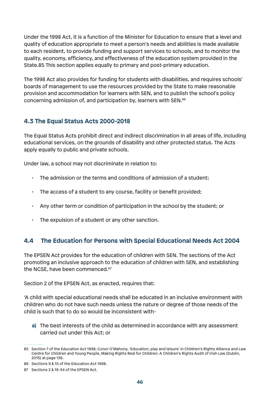Under the 1998 Act, it is a function of the Minister for Education to ensure that a level and quality of education appropriate to meet a person's needs and abilities is made available to each resident, to provide funding and support services to schools, and to monitor the quality, economy, efficiency, and effectiveness of the education system provided in the State.85 This section applies equally to primary and post-primary education.

The 1998 Act also provides for funding for students with disabilities, and requires schools' boards of management to use the resources provided by the State to make reasonable provision and accommodation for learners with SEN, and to publish the school's policy concerning admission of, and participation by, learners with SEN.86

## **4.3 The Equal Status Acts 2000-2018**

The Equal Status Acts prohibit direct and indirect discrimination in all areas of life, including educational services, on the grounds of disability and other protected status. The Acts apply equally to public and private schools.

Under law, a school may not discriminate in relation to:

- $\cdot$  The admission or the terms and conditions of admission of a student;
- The access of a student to any course, facility or benefit provided;
- Any other term or condition of participation in the school by the student; or
- The expulsion of a student or any other sanction.

# **4.4 The Education for Persons with Special Educational Needs Act 2004**

The EPSEN Act provides for the education of children with SEN. The sections of the Act promoting an inclusive approach to the education of children with SEN, and establishing the NCSE, have been commenced.87

Section 2 of the EPSEN Act, as enacted, requires that:

'A child with special educational needs shall be educated in an inclusive environment with children who do not have such needs unless the nature or degree of those needs of the child is such that to do so would be inconsistent with-

**a)** The best interests of the child as determined in accordance with any assessment carried out under this Act; or

<sup>85</sup> Section 7 of the Education Act 1998; Conor O'Mahony, 'Education, play and leisure' in Children's Rights Alliance and Law Centre for Children and Young People, Making Rights Real for Children: A Children's Rights Audit of Irish Law (Dublin, 2015) at page 136.

<sup>86</sup> Sections 9 & 15 of the Education Act 1998.

<sup>87</sup> Sections 2 & 19-34 of the EPSEN Act.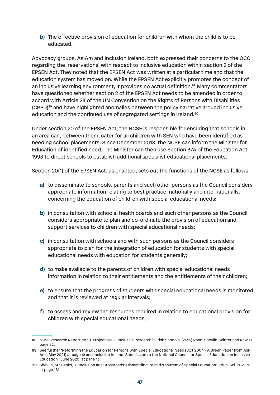**b)** The effective provision of education for children with whom the child is to be educated.'

Advocacy groups, AsIAm and Inclusion Ireland, both expressed their concerns to the OCO regarding the 'reservations' with respect to inclusive education within section 2 of the EPSEN Act. They noted that the EPSEN Act was written at a particular time and that the education system has moved on. While the EPSEN Act explicitly promotes the concept of an inclusive learning environment, it provides no actual definition.<sup>88</sup> Many commentators have questioned whether section 2 of the EPSEN Act needs to be amended in order to accord with Article 24 of the UN Convention on the Rights of Persons with Disabilities (CRPD)89 and have highlighted anomalies between the policy narrative around inclusive education and the continued use of segregated settings in Ireland.90

Under section 20 of the EPSEN Act, the NCSE is responsible for ensuring that schools in an area can, between them, cater for all children with SEN who have been identified as needing school placements. Since December 2018, the NCSE can inform the Minister for Education of identified need. The Minister can then use Section 37A of the Education Act 1998 to direct schools to establish additional specialist educational placements.

Section 20(1) of the EPSEN Act, as enacted, sets out the functions of the NCSE as follows:

- **a)** to disseminate to schools, parents and such other persons as the Council considers appropriate information relating to best practice, nationally and internationally, concerning the education of children with special educational needs;
- **b)** in consultation with schools, health boards and such other persons as the Council considers appropriate to plan and co-ordinate the provision of education and support services to children with special educational needs;
- **c)** in consultation with schools and with such persons as the Council considers appropriate to plan for the integration of education for students with special educational needs with education for students generally;
- **d)** to make available to the parents of children with special educational needs information in relation to their entitlements and the entitlements of their children;
- **e)** to ensure that the progress of students with special educational needs is monitored and that it is reviewed at regular intervals;
- **f)** to assess and review the resources required in relation to educational provision for children with special educational needs;

<sup>88</sup> NCSE Research Report no 19 'Project IRIS – Inclusive Research in Irish Schools' (2015) Rose, Shevlin, Winter and Raw at page 22.

<sup>89</sup> See further 'Reforming the Education for Persons with Special Educational Needs Act 2004 - A Green Paper from AsI-Am' (May 2021) at page 4; and Inclusion Ireland 'Submission to the National Council for Special Education on Inclusive Education' (June 2020) at page 13.

<sup>90</sup> Shevlin, M.; Banks, J. 'Inclusion at a Crossroads: Dismantling Ireland's System of Special Education'. Educ. Sci. 2021, 11, at page 161.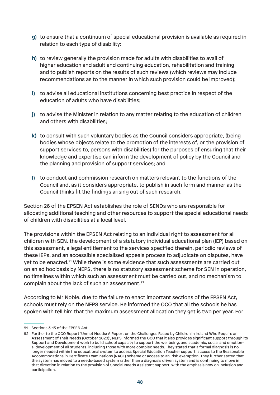- **g)** to ensure that a continuum of special educational provision is available as required in relation to each type of disability;
- **h)** to review generally the provision made for adults with disabilities to avail of higher education and adult and continuing education, rehabilitation and training and to publish reports on the results of such reviews (which reviews may include recommendations as to the manner in which such provision could be improved);
- **i)** to advise all educational institutions concerning best practice in respect of the education of adults who have disabilities;
- **j)** to advise the Minister in relation to any matter relating to the education of children and others with disabilities;
- **k)** to consult with such voluntary bodies as the Council considers appropriate, (being bodies whose objects relate to the promotion of the interests of, or the provision of support services to, persons with disabilities) for the purposes of ensuring that their knowledge and expertise can inform the development of policy by the Council and the planning and provision of support services; and
- **l)** to conduct and commission research on matters relevant to the functions of the Council and, as it considers appropriate, to publish in such form and manner as the Council thinks fit the findings arising out of such research.

Section 26 of the EPSEN Act establishes the role of SENOs who are responsible for allocating additional teaching and other resources to support the special educational needs of children with disabilities at a local level.

The provisions within the EPSEN Act relating to an individual right to assessment for all children with SEN, the development of a statutory individual educational plan (IEP) based on this assessment, a legal entitlement to the services specified therein, periodic reviews of these IEPs, and an accessible specialised appeals process to adjudicate on disputes, have yet to be enacted.<sup>91</sup> While there is some evidence that such assessments are carried out on an ad hoc basis by NEPS, there is no statutory assessment scheme for SEN in operation, no timelines within which such an assessment must be carried out, and no mechanism to complain about the lack of such an assessment.92

According to Mr Noble, due to the failure to enact important sections of the EPSEN Act, schools must rely on the NEPS service. He informed the OCO that all the schools he has spoken with tell him that the maximum assessment allocation they get is two per year. For

<sup>91</sup> Sections 3-13 of the EPSEN Act.

<sup>92</sup> Further to the OCO Report 'Unmet Needs: A Report on the Challenges Faced by Children in Ireland Who Require an Assessment of Their Needs (October 2020)', NEPS informed the OCO that it also provides significant support through its Support and Development work to build school capacity to support the wellbeing, and academic, social and emotional development of all students, including those with more complex needs. They stated that a formal diagnosis is no longer needed within the educational system to access Special Education Teacher support, access to the Reasonable Accommodations in Certificate Examinations (RACE) scheme or access to an Irish exemption. They further stated that the system has moved to a needs-based system rather than a diagnosis driven system and is continuing to move in that direction in relation to the provision of Special Needs Assistant support, with the emphasis now on inclusion and participation.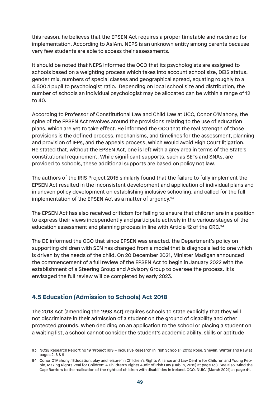this reason, he believes that the EPSEN Act requires a proper timetable and roadmap for implementation. According to AsIAm, NEPS is an unknown entity among parents because very few students are able to access their assessments.

It should be noted that NEPS informed the OCO that its psychologists are assigned to schools based on a weighting process which takes into account school size, DEIS status, gender mix, numbers of special classes and geographical spread, equating roughly to a 4,500:1 pupil to psychologist ratio. Depending on local school size and distribution, the number of schools an individual psychologist may be allocated can be within a range of 12 to 40.

According to Professor of Constitutional Law and Child Law at UCC, Conor O'Mahony, the spine of the EPSEN Act revolves around the provisions relating to the use of education plans, which are yet to take effect. He informed the OCO that the real strength of those provisions is the defined process, mechanisms, and timelines for the assessment, planning and provision of IEPs, and the appeals process, which would avoid High Court litigation. He stated that, without the EPSEN Act, one is left with a grey area in terms of the State's constitutional requirement. While significant supports, such as SETs and SNAs, are provided to schools, these additional supports are based on policy not law.

The authors of the IRIS Project 2015 similarly found that the failure to fully implement the EPSEN Act resulted in the inconsistent development and application of individual plans and in uneven policy development on establishing inclusive schooling, and called for the full implementation of the EPSEN Act as a matter of urgency.<sup>93</sup>

The EPSEN Act has also received criticism for failing to ensure that children are in a position to express their views independently and participate actively in the various stages of the education assessment and planning process in line with Article 12 of the CRC.<sup>94</sup>

The DE informed the OCO that since EPSEN was enacted, the Department's policy on supporting children with SEN has changed from a model that is diagnosis led to one which is driven by the needs of the child. On 20 December 2021, Minister Madigan announced the commencement of a full review of the EPSEN Act to begin in January 2022 with the establishment of a Steering Group and Advisory Group to oversee the process. It is envisaged the full review will be completed by early 2023.

# **4.5 Education (Admission to Schools) Act 2018**

The 2018 Act (amending the 1998 Act) requires schools to state explicitly that they will not discriminate in their admission of a student on the ground of disability and other protected grounds. When deciding on an application to the school or placing a student on a waiting list, a school cannot consider the student's academic ability, skills or aptitude

<sup>93</sup> NCSE Research Report no 19 'Project IRIS – Inclusive Research in Irish Schools' (2015) Rose, Shevlin, Winter and Raw at pages 2, 8 & 9

<sup>94</sup> Conor O'Mahony, 'Education, play and leisure' in Children's Rights Alliance and Law Centre for Children and Young People, Making Rights Real for Children: A Children's Rights Audit of Irish Law (Dublin, 2015) at page 138. See also 'Mind the Gap: Barriers to the realisation of the rights of children with disabilities in Ireland, OCO, NUIG' (March 2021) at page 41.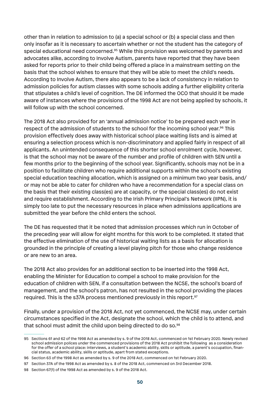other than in relation to admission to (a) a special school or (b) a special class and then only insofar as it is necessary to ascertain whether or not the student has the category of special educational need concerned.<sup>95</sup> While this provision was welcomed by parents and advocates alike, according to Involve Autism, parents have reported that they have been asked for reports prior to their child being offered a place in a mainstream setting on the basis that the school wishes to ensure that they will be able to meet the child's needs. According to Involve Autism, there also appears to be a lack of consistency in relation to admission policies for autism classes with some schools adding a further eligibility criteria that stipulates a child's level of cognition. The DE informed the OCO that should it be made aware of instances where the provisions of the 1998 Act are not being applied by schools, it will follow up with the school concerned.

The 2018 Act also provided for an 'annual admission notice' to be prepared each year in respect of the admission of students to the school for the incoming school year.<sup>96</sup> This provision effectively does away with historical school place waiting lists and is aimed at ensuring a selection process which is non-discriminatory and applied fairly in respect of all applicants. An unintended consequence of this shorter school enrolment cycle, however, is that the school may not be aware of the number and profile of children with SEN until a few months prior to the beginning of the school year. Significantly, schools may not be in a position to facilitate children who require additional supports within the school's existing special education teaching allocation, which is assigned on a minimum two year basis, and/ or may not be able to cater for children who have a recommendation for a special class on the basis that their existing class(es) are at capacity, or the special class(es) do not exist and require establishment. According to the Irish Primary Principal's Network (IIPN), it is simply too late to put the necessary resources in place when admissions applications are submitted the year before the child enters the school.

The DE has requested that it be noted that admission processes which run in October of the preceding year will allow for eight months for this work to be completed. It stated that the effective elimination of the use of historical waiting lists as a basis for allocation is grounded in the principle of creating a level playing pitch for those who change residence or are new to an area.

The 2018 Act also provides for an additional section to be inserted into the 1998 Act, enabling the Minister for Education to compel a school to make provision for the education of children with SEN, if a consultation between the NCSE, the school's board of management, and the school's patron, has not resulted in the school providing the places required. This is the s37A process mentioned previously in this report.<sup>97</sup>

Finally, under a provision of the 2018 Act, not yet commenced, the NCSE may, under certain circumstances specified in the Act, designate the school, which the child is to attend, and that school must admit the child upon being directed to do so.<sup>98</sup>

<sup>95</sup> Sections 61 and 62 of the 1998 Act as amended by s. 9 of the 2018 Act, commenced on 1st February 2020. Newly revised school admission polices under the commenced provisions of the 2018 Act prohibit the following as a consideration for the offer of a school place: interviews, a student's academic ability, skills or aptitude, a parent's occupation, financial status, academic ability, skills or aptitude, apart from stated exceptions.

<sup>96</sup> Section 63 of the 1998 Act as amended by s. 9 of the 2018 Act, commenced on 1st February 2020.

<sup>97</sup> Section 37A of the 1998 Act as amended by s. 8 of the 2018 Act, commenced on 3rd December 2018.

<sup>98</sup> Section 67(1) of the 1998 Act as amended by s. 9 of the 2018 Act.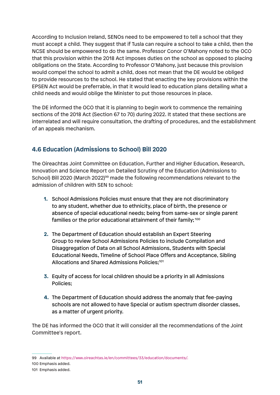According to Inclusion Ireland, SENOs need to be empowered to tell a school that they must accept a child. They suggest that if Tusla can require a school to take a child, then the NCSE should be empowered to do the same. Professor Conor O'Mahony noted to the OCO that this provision within the 2018 Act imposes duties on the school as opposed to placing obligations on the State. According to Professor O'Mahony, just because this provision would compel the school to admit a child, does not mean that the DE would be obliged to provide resources to the school. He stated that enacting the key provisions within the EPSEN Act would be preferrable, in that it would lead to education plans detailing what a child needs and would oblige the Minister to put those resources in place.

The DE informed the OCO that it is planning to begin work to commence the remaining sections of the 2018 Act (Section 67 to 70) during 2022. It stated that these sections are interrelated and will require consultation, the drafting of procedures, and the establishment of an appeals mechanism.

# **4.6 Education (Admissions to School) Bill 2020**

The Oireachtas Joint Committee on Education, Further and Higher Education, Research, Innovation and Science Report on Detailed Scrutiny of the Education (Admissions to School) Bill 2020 (March 2022)<sup>99</sup> made the following recommendations relevant to the admission of children with SEN to school:

- **1.** School Admissions Policies must ensure that they are not discriminatory to any student, whether due to ethnicity, place of birth, the presence or absence of special educational needs; being from same-sex or single parent families or the prior educational attainment of their family; 100
- **2.** The Department of Education should establish an Expert Steering Group to review School Admissions Policies to include Compilation and Disaggregation of Data on all School Admissions, Students with Special Educational Needs, Timeline of School Place Offers and Acceptance, Sibling Allocations and Shared Admissions Policies;<sup>101</sup>
- **3.** Equity of access for local children should be a priority in all Admissions Policies;
- **4.** The Department of Education should address the anomaly that fee-paying schools are not allowed to have Special or autism spectrum disorder classes, as a matter of urgent priority.

The DE has informed the OCO that it will consider all the recommendations of the Joint Committee's report.

<sup>99</sup> Available at https://www.oireachtas.ie/en/committees/33/education/documents/.

<sup>100</sup> Emphasis added.

<sup>101</sup> Emphasis added.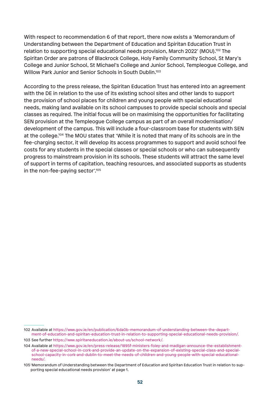With respect to recommendation 6 of that report, there now exists a 'Memorandum of Understanding between the Department of Education and Spiritan Education Trust in relation to supporting special educational needs provision, March 2022' (MOU).<sup>102</sup> The Spiritan Order are patrons of Blackrock College, Holy Family Community School, St Mary's College and Junior School, St Michael's College and Junior School, Templeogue College, and Willow Park Junior and Senior Schools in South Dublin.<sup>103</sup>

According to the press release, the Spiritan Education Trust has entered into an agreement with the DE in relation to the use of its existing school sites and other lands to support the provision of school places for children and young people with special educational needs, making land available on its school campuses to provide special schools and special classes as required. The initial focus will be on maximising the opportunities for facilitating SEN provision at the Templeogue College campus as part of an overall modernisation/ development of the campus. This will include a four-classroom base for students with SEN at the college.104 The MOU states that 'While it is noted that many of its schools are in the fee-charging sector, it will develop its access programmes to support and avoid school fee costs for any students in the special classes or special schools or who can subsequently progress to mainstream provision in its schools. These students will attract the same level of support in terms of capitation, teaching resources, and associated supports as students in the non-fee-paying sector'.105

<sup>102</sup> Available at https://www.gov.ie/en/publication/6da0b-memorandum-of-understanding-between-the-department-of-education-and-spiritan-education-trust-in-relation-to-supporting-special-educational-needs-provision/.

<sup>103</sup> See further https://www.spiritaneducation.ie/about-us/school-network/.

<sup>104</sup> Available at https://www.gov.ie/en/press-release/1895f-ministers-foley-and-madigan-announce-the-establishmentof-a-new-special-school-in-cork-and-provide-an-update-on-the-expansion-of-existing-special-class-and-specialschool-capacity-in-cork-and-dublin-to-meet-the-needs-of-children-and-young-people-with-special-educationalneeds/.

<sup>105 &#</sup>x27;Memorandum of Understanding between the Department of Education and Spiritan Education Trust in relation to supporting special educational needs provision' at page 1.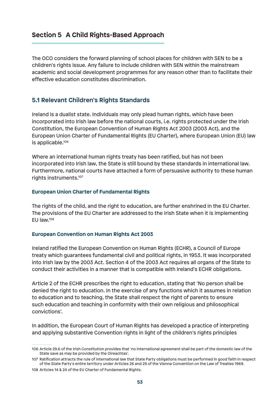# **Section 5 A Child Rights-Based Approach**

The OCO considers the forward planning of school places for children with SEN to be a children's rights issue. Any failure to include children with SEN within the mainstream academic and social development programmes for any reason other than to facilitate their effective education constitutes discrimination.

### **5.1 Relevant Children's Rights Standards**

Ireland is a dualist state. Individuals may only plead human rights, which have been incorporated into Irish law before the national courts, i.e. rights protected under the Irish Constitution, the European Convention of Human Rights Act 2003 (2003 Act), and the European Union Charter of Fundamental Rights (EU Charter), where European Union (EU) law is applicable.106

Where an international human rights treaty has been ratified, but has not been incorporated into Irish law, the State is still bound by these standards in international law. Furthermore, national courts have attached a form of persuasive authority to these human rights instruments.107

#### **European Union Charter of Fundamental Rights**

The rights of the child, and the right to education, are further enshrined in the EU Charter. The provisions of the EU Charter are addressed to the Irish State when it is implementing EU law.108

#### **European Convention on Human Rights Act 2003**

Ireland ratified the European Convention on Human Rights (ECHR), a Council of Europe treaty which guarantees fundamental civil and political rights, in 1953. It was incorporated into Irish law by the 2003 Act. Section 4 of the 2003 Act requires all organs of the State to conduct their activities in a manner that is compatible with Ireland's ECHR obligations.

Article 2 of the ECHR prescribes the right to education, stating that 'No person shall be denied the right to education. In the exercise of any functions which it assumes in relation to education and to teaching, the State shall respect the right of parents to ensure such education and teaching in conformity with their own religious and philosophical convictions'.

In addition, the European Court of Human Rights has developed a practice of interpreting and applying substantive Convention rights in light of the children's rights principles

<sup>106</sup> Article 29.6 of the Irish Constitution provides that 'no international agreement shall be part of the domestic law of the State save as may be provided by the Oireachtas'.

<sup>107</sup> Ratification attracts the rule of international law that State Party obligations must be performed in good faith in respect of the State Party's entire territory under Articles 26 and 29 of the Vienna Convention on the Law of Treaties 1969. 108 Articles 14 & 24 of the EU Charter of Fundamental Rights.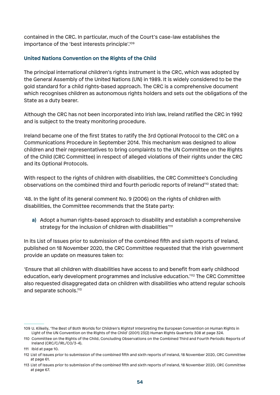contained in the CRC. In particular, much of the Court's case-law establishes the importance of the 'best interests principle'.109

#### **United Nations Convention on the Rights of the Child**

The principal international children's rights instrument is the CRC, which was adopted by the General Assembly of the United Nations (UN) in 1989. It is widely considered to be the gold standard for a child rights-based approach. The CRC is a comprehensive document which recognises children as autonomous rights holders and sets out the obligations of the State as a duty bearer.

Although the CRC has not been incorporated into Irish law, Ireland ratified the CRC in 1992 and is subject to the treaty monitoring procedure.

Ireland became one of the first States to ratify the 3rd Optional Protocol to the CRC on a Communications Procedure in September 2014. This mechanism was designed to allow children and their representatives to bring complaints to the UN Committee on the Rights of the Child (CRC Committee) in respect of alleged violations of their rights under the CRC and its Optional Protocols.

With respect to the rights of children with disabilities, the CRC Committee's Concluding observations on the combined third and fourth periodic reports of Ireland<sup>110</sup> stated that:

'48. In the light of its general comment No. 9 (2006) on the rights of children with disabilities, the Committee recommends that the State party:

**a)** Adopt a human rights-based approach to disability and establish a comprehensive strategy for the inclusion of children with disabilities'<sup>111</sup>

In its List of Issues prior to submission of the combined fifth and sixth reports of Ireland, published on 18 November 2020, the CRC Committee requested that the Irish government provide an update on measures taken to:

'Ensure that all children with disabilities have access to and benefit from early childhood education, early development programmes and inclusive education.'112 The CRC Committee also requested disaggregated data on children with disabilities who attend regular schools and separate schools.<sup>113</sup>

<sup>109</sup> U. Kilkelly, 'The Best of Both Worlds for Children's Rights? Interpreting the European Convention on Human Rights in Light of the UN Convention on the Rights of the Child' (2001) 23(2) Human Rights Quarterly 308 at page 324.

<sup>110</sup> Committee on the Rights of the Child, Concluding Observations on the Combined Third and Fourth Periodic Reports of Ireland (CRC/C/IRL/CO/3-4).

<sup>111</sup> Ibid at page 10.

<sup>112</sup> List of Issues prior to submission of the combined fifth and sixth reports of Ireland, 18 November 2020, CRC Committee at page 61.

<sup>113</sup> List of Issues prior to submission of the combined fifth and sixth reports of Ireland, 18 November 2020, CRC Committee at page 67.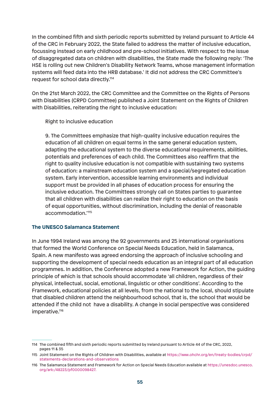In the combined fifth and sixth periodic reports submitted by Ireland pursuant to Article 44 of the CRC in February 2022, the State failed to address the matter of inclusive education, focussing instead on early childhood and pre-school initiatives. With respect to the issue of disaggregated data on children with disabilities, the State made the following reply: 'The HSE is rolling out new Children's Disability Network Teams, whose management information systems will feed data into the HRB database.' It did not address the CRC Committee's request for school data directly.114

On the 21st March 2022, the CRC Committee and the Committee on the Rights of Persons with Disabilities (CRPD Committee) published a Joint Statement on the Rights of Children with Disabilities, reiterating the right to inclusive education:

Right to inclusive education

9. The Committees emphasize that high-quality inclusive education requires the education of all children on equal terms in the same general education system, adapting the educational system to the diverse educational requirements, abilities, potentials and preferences of each child. The Committees also reaffirm that the right to quality inclusive education is not compatible with sustaining two systems of education: a mainstream education system and a special/segregated education system. Early intervention, accessible learning environments and individual support must be provided in all phases of education process for ensuring the inclusive education. The Committees strongly call on States parties to guarantee that all children with disabilities can realize their right to education on the basis of equal opportunities, without discrimination, including the denial of reasonable accommodation.'115

#### **The UNESCO Salamanca Statement**

In June 1994 Ireland was among the 92 governments and 25 international organisations that formed the World Conference on Special Needs Education, held in Salamanca, Spain. A new manifesto was agreed endorsing the approach of inclusive schooling and supporting the development of special needs education as an integral part of all education programmes. In addition, the Conference adopted a new Framework for Action, the guiding principle of which is that schools should accommodate 'all children, regardless of their physical, intellectual, social, emotional, linguistic or other conditions'. According to the Framework, educational policies at all levels, from the national to the local, should stipulate that disabled children attend the neighbourhood school, that is, the school that would be attended if the child not have a disability. A change in social perspective was considered imperative.<sup>116</sup>

<sup>114</sup> The combined fifth and sixth periodic reports submitted by Ireland pursuant to Article 44 of the CRC, 2022, pages 11 & 35

<sup>115</sup> Joint Statement on the Rights of Children with Disabilities, available at https://www.ohchr.org/en/treaty-bodies/crpd/ statements-declarations-and-observations

<sup>116</sup> The Salamanca Statement and Framework for Action on Special Needs Education available at https://unesdoc.unesco. org/ark:/48223/pf0000098427.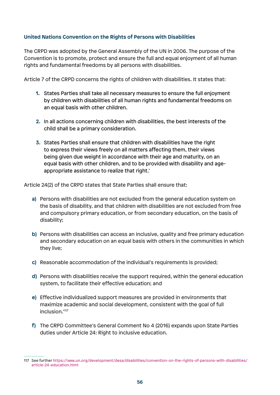#### **United Nations Convention on the Rights of Persons with Disabilities**

The CRPD was adopted by the General Assembly of the UN in 2006. The purpose of the Convention is to promote, protect and ensure the full and equal enjoyment of all human rights and fundamental freedoms by all persons with disabilities.

Article 7 of the CRPD concerns the rights of children with disabilities. It states that:

- **1.** States Parties shall take all necessary measures to ensure the full enjoyment by children with disabilities of all human rights and fundamental freedoms on an equal basis with other children.
- **2.** In all actions concerning children with disabilities, the best interests of the child shall be a primary consideration.
- **3.** States Parties shall ensure that children with disabilities have the right to express their views freely on all matters affecting them, their views being given due weight in accordance with their age and maturity, on an equal basis with other children, and to be provided with disability and ageappropriate assistance to realize that right.'

Article 24(2) of the CRPD states that State Parties shall ensure that:

- **a)** Persons with disabilities are not excluded from the general education system on the basis of disability, and that children with disabilities are not excluded from free and compulsory primary education, or from secondary education, on the basis of disability;
- **b)** Persons with disabilities can access an inclusive, quality and free primary education and secondary education on an equal basis with others in the communities in which they live;
- **c)** Reasonable accommodation of the individual's requirements is provided;
- **d)** Persons with disabilities receive the support required, within the general education system, to facilitate their effective education; and
- **e)** Effective individualized support measures are provided in environments that maximize academic and social development, consistent with the goal of full inclusion.'<sup>117</sup>
- **f)** The CRPD Committee's General Comment No 4 (2016) expands upon State Parties duties under Article 24: Right to inclusive education.

<sup>117</sup> See further https://www.un.org/development/desa/disabilities/convention-on-the-rights-of-persons-with-disabilities/ article-24-education.html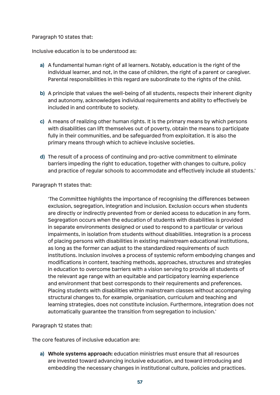#### Paragraph 10 states that:

Inclusive education is to be understood as:

- **a)** A fundamental human right of all learners. Notably, education is the right of the individual learner, and not, in the case of children, the right of a parent or caregiver. Parental responsibilities in this regard are subordinate to the rights of the child.
- **b)** A principle that values the well-being of all students, respects their inherent dignity and autonomy, acknowledges individual requirements and ability to effectively be included in and contribute to society.
- **c)** A means of realizing other human rights. It is the primary means by which persons with disabilities can lift themselves out of poverty, obtain the means to participate fully in their communities, and be safeguarded from exploitation. It is also the primary means through which to achieve inclusive societies.
- **d)** The result of a process of continuing and pro-active commitment to eliminate barriers impeding the right to education, together with changes to culture, policy and practice of regular schools to accommodate and effectively include all students.'

#### Paragraph 11 states that:

'The Committee highlights the importance of recognising the differences between exclusion, segregation, integration and inclusion. Exclusion occurs when students are directly or indirectly prevented from or denied access to education in any form. Segregation occurs when the education of students with disabilities is provided in separate environments designed or used to respond to a particular or various impairments, in isolation from students without disabilities. Integration is a process of placing persons with disabilities in existing mainstream educational institutions, as long as the former can adjust to the standardized requirements of such institutions. Inclusion involves a process of systemic reform embodying changes and modifications in content, teaching methods, approaches, structures and strategies in education to overcome barriers with a vision serving to provide all students of the relevant age range with an equitable and participatory learning experience and environment that best corresponds to their requirements and preferences. Placing students with disabilities within mainstream classes without accompanying structural changes to, for example, organisation, curriculum and teaching and learning strategies, does not constitute inclusion. Furthermore, integration does not automatically guarantee the transition from segregation to inclusion.'

#### Paragraph 12 states that:

The core features of inclusive education are:

**a) Whole systems approach:** education ministries must ensure that all resources are invested toward advancing inclusive education, and toward introducing and embedding the necessary changes in institutional culture, policies and practices.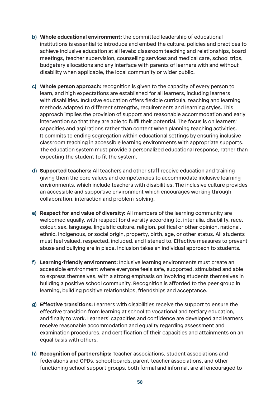- **b) Whole educational environment:** the committed leadership of educational institutions is essential to introduce and embed the culture, policies and practices to achieve inclusive education at all levels: classroom teaching and relationships, board meetings, teacher supervision, counselling services and medical care, school trips, budgetary allocations and any interface with parents of learners with and without disability when applicable, the local community or wider public.
- **c) Whole person approach:** recognition is given to the capacity of every person to learn, and high expectations are established for all learners, including learners with disabilities. Inclusive education offers flexible curricula, teaching and learning methods adapted to different strengths, requirements and learning styles. This approach implies the provision of support and reasonable accommodation and early intervention so that they are able to fulfil their potential. The focus is on learners' capacities and aspirations rather than content when planning teaching activities. It commits to ending segregation within educational settings by ensuring inclusive classroom teaching in accessible learning environments with appropriate supports. The education system must provide a personalized educational response, rather than expecting the student to fit the system.
- **d) Supported teachers:** All teachers and other staff receive education and training giving them the core values and competencies to accommodate inclusive learning environments, which include teachers with disabilities. The inclusive culture provides an accessible and supportive environment which encourages working through collaboration, interaction and problem-solving.
- **e) Respect for and value of diversity:** All members of the learning community are welcomed equally, with respect for diversity according to, inter alia, disability, race, colour, sex, language, linguistic culture, religion, political or other opinion, national, ethnic, indigenous, or social origin, property, birth, age, or other status. All students must feel valued, respected, included, and listened to. Effective measures to prevent abuse and bullying are in place. Inclusion takes an individual approach to students.
- **f) Learning-friendly environment:** Inclusive learning environments must create an accessible environment where everyone feels safe, supported, stimulated and able to express themselves, with a strong emphasis on involving students themselves in building a positive school community. Recognition is afforded to the peer group in learning, building positive relationships, friendships and acceptance.
- **g) Effective transitions:** Learners with disabilities receive the support to ensure the effective transition from learning at school to vocational and tertiary education, and finally to work. Learners' capacities and confidence are developed and learners receive reasonable accommodation and equality regarding assessment and examination procedures, and certification of their capacities and attainments on an equal basis with others.
- **h) Recognition of partnerships:** Teacher associations, student associations and federations and OPDs, school boards, parent-teacher associations, and other functioning school support groups, both formal and informal, are all encouraged to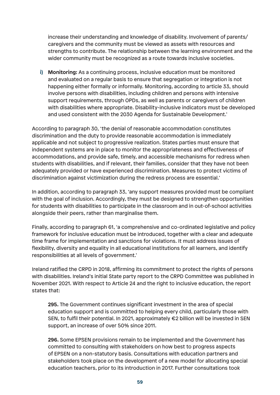increase their understanding and knowledge of disability. Involvement of parents/ caregivers and the community must be viewed as assets with resources and strengths to contribute. The relationship between the learning environment and the wider community must be recognized as a route towards inclusive societies.

**i) Monitoring:** As a continuing process, inclusive education must be monitored and evaluated on a regular basis to ensure that segregation or integration is not happening either formally or informally. Monitoring, according to article 33, should involve persons with disabilities, including children and persons with intensive support requirements, through OPDs, as well as parents or caregivers of children with disabilities where appropriate. Disability-inclusive indicators must be developed and used consistent with the 2030 Agenda for Sustainable Development.'

According to paragraph 30, 'the denial of reasonable accommodation constitutes discrimination and the duty to provide reasonable accommodation is immediately applicable and not subject to progressive realization. States parties must ensure that independent systems are in place to monitor the appropriateness and effectiveness of accommodations, and provide safe, timely, and accessible mechanisms for redress when students with disabilities, and if relevant, their families, consider that they have not been adequately provided or have experienced discrimination. Measures to protect victims of discrimination against victimization during the redress process are essential.'

In addition, according to paragraph 33, 'any support measures provided must be compliant with the goal of inclusion. Accordingly, they must be designed to strengthen opportunities for students with disabilities to participate in the classroom and in out-of-school activities alongside their peers, rather than marginalise them.

Finally, according to paragraph 61, 'a comprehensive and co-ordinated legislative and policy framework for inclusive education must be introduced, together with a clear and adequate time frame for implementation and sanctions for violations. It must address issues of flexibility, diversity and equality in all educational institutions for all learners, and identify responsibilities at all levels of government.'

Ireland ratified the CRPD in 2018, affirming its commitment to protect the rights of persons with disabilities. Ireland's initial State party report to the CRPD Committee was published in November 2021. With respect to Article 24 and the right to inclusive education, the report states that:

**295.** The Government continues significant investment in the area of special education support and is committed to helping every child, particularly those with SEN, to fulfil their potential. In 2021, approximately €2 billion will be invested in SEN support, an increase of over 50% since 2011.

**296.** Some EPSEN provisions remain to be implemented and the Government has committed to consulting with stakeholders on how best to progress aspects of EPSEN on a non-statutory basis. Consultations with education partners and stakeholders took place on the development of a new model for allocating special education teachers, prior to its introduction in 2017. Further consultations took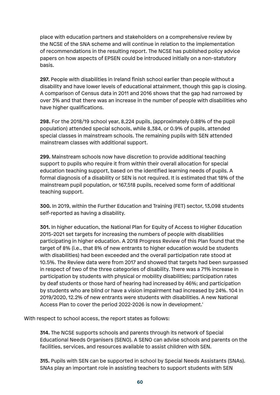place with education partners and stakeholders on a comprehensive review by the NCSE of the SNA scheme and will continue in relation to the implementation of recommendations in the resulting report. The NCSE has published policy advice papers on how aspects of EPSEN could be introduced initially on a non-statutory basis.

**297.** People with disabilities in Ireland finish school earlier than people without a disability and have lower levels of educational attainment, though this gap is closing. A comparison of Census data in 2011 and 2016 shows that the gap had narrowed by over 3% and that there was an increase in the number of people with disabilities who have higher qualifications.

**298.** For the 2018/19 school year, 8,224 pupils, (approximately 0.88% of the pupil population) attended special schools, while 8,384, or 0.9% of pupils, attended special classes in mainstream schools. The remaining pupils with SEN attended mainstream classes with additional support.

**299.** Mainstream schools now have discretion to provide additional teaching support to pupils who require it from within their overall allocation for special education teaching support, based on the identified learning needs of pupils. A formal diagnosis of a disability or SEN is not required. It is estimated that 18% of the mainstream pupil population, or 167,518 pupils, received some form of additional teaching support.

**300.** In 2019, within the Further Education and Training (FET) sector, 13,098 students self-reported as having a disability.

**301.** In higher education, the National Plan for Equity of Access to Higher Education 2015-2021 set targets for increasing the numbers of people with disabilities participating in higher education. A 2018 Progress Review of this Plan found that the target of 8% (i.e., that 8% of new entrants to higher education would be students with disabilities) had been exceeded and the overall participation rate stood at 10.5%. The Review data were from 2017 and showed that targets had been surpassed in respect of two of the three categories of disability. There was a 71% increase in participation by students with physical or mobility disabilities; participation rates by deaf students or those hard of hearing had increased by 46%; and participation by students who are blind or have a vision impairment had increased by 24%. 104 In 2019/2020, 12.2% of new entrants were students with disabilities. A new National Access Plan to cover the period 2022-2026 is now in development.'

With respect to school access, the report states as follows:

**314.** The NCSE supports schools and parents through its network of Special Educational Needs Organisers (SENO). A SENO can advise schools and parents on the facilities, services, and resources available to assist children with SEN.

**315.** Pupils with SEN can be supported in school by Special Needs Assistants (SNAs). SNAs play an important role in assisting teachers to support students with SEN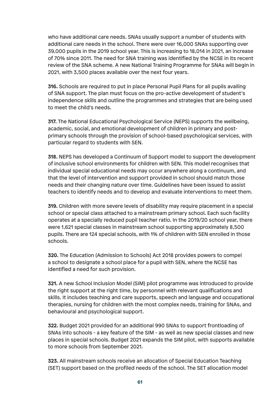who have additional care needs. SNAs usually support a number of students with additional care needs in the school. There were over 16,000 SNAs supporting over 39,000 pupils in the 2019 school year. This is increasing to 18,014 in 2021, an increase of 70% since 2011. The need for SNA training was identified by the NCSE in its recent review of the SNA scheme. A new National Training Programme for SNAs will begin in 2021, with 3,500 places available over the next four years.

**316.** Schools are required to put in place Personal Pupil Plans for all pupils availing of SNA support. The plan must focus on the pro-active development of student's independence skills and outline the programmes and strategies that are being used to meet the child's needs.

**317.** The National Educational Psychological Service (NEPS) supports the wellbeing, academic, social, and emotional development of children in primary and postprimary schools through the provision of school-based psychological services, with particular regard to students with SEN.

**318.** NEPS has developed a Continuum of Support model to support the development of inclusive school environments for children with SEN. This model recognises that individual special educational needs may occur anywhere along a continuum, and that the level of intervention and support provided in school should match those needs and their changing nature over time. Guidelines have been issued to assist teachers to identify needs and to develop and evaluate interventions to meet them.

**319.** Children with more severe levels of disability may require placement in a special school or special class attached to a mainstream primary school. Each such facility operates at a specially reduced pupil teacher ratio. In the 2019/20 school year, there were 1,621 special classes in mainstream school supporting approximately 8,500 pupils. There are 124 special schools, with 1% of children with SEN enrolled in those schools.

**320.** The Education (Admission to Schools) Act 2018 provides powers to compel a school to designate a school place for a pupil with SEN, where the NCSE has identified a need for such provision.

**321.** A new School Inclusion Model (SIM) pilot programme was introduced to provide the right support at the right time, by personnel with relevant qualifications and skills. It includes teaching and care supports, speech and language and occupational therapies, nursing for children with the most complex needs, training for SNAs, and behavioural and psychological support.

**322.** Budget 2021 provided for an additional 990 SNAs to support frontloading of SNAs into schools - a key feature of the SIM - as well as new special classes and new places in special schools. Budget 2021 expands the SIM pilot, with supports available to more schools from September 2021.

**323.** All mainstream schools receive an allocation of Special Education Teaching (SET) support based on the profiled needs of the school. The SET allocation model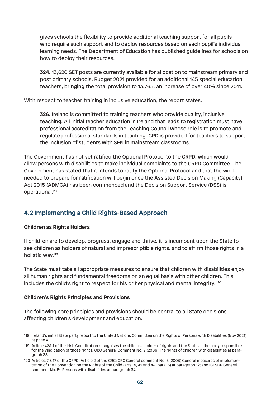gives schools the flexibility to provide additional teaching support for all pupils who require such support and to deploy resources based on each pupil's individual learning needs. The Department of Education has published guidelines for schools on how to deploy their resources.

**324.** 13,620 SET posts are currently available for allocation to mainstream primary and post primary schools. Budget 2021 provided for an additional 145 special education teachers, bringing the total provision to 13,765, an increase of over 40% since 2011.'

With respect to teacher training in inclusive education, the report states:

**326.** Ireland is committed to training teachers who provide quality, inclusive teaching. All initial teacher education in Ireland that leads to registration must have professional accreditation from the Teaching Council whose role is to promote and regulate professional standards in teaching. CPD is provided for teachers to support the inclusion of students with SEN in mainstream classrooms.

The Government has not yet ratified the Optional Protocol to the CRPD, which would allow persons with disabilities to make individual complaints to the CRPD Committee. The Government has stated that it intends to ratify the Optional Protocol and that the work needed to prepare for ratification will begin once the Assisted Decision Making (Capacity) Act 2015 (ADMCA) has been commenced and the Decision Support Service (DSS) is operational.118

# **4.2 Implementing a Child Rights-Based Approach**

### **Children as Rights Holders**

If children are to develop, progress, engage and thrive, it is incumbent upon the State to see children as holders of natural and imprescriptible rights, and to affirm those rights in a holistic way.119

The State must take all appropriate measures to ensure that children with disabilities enjoy all human rights and fundamental freedoms on an equal basis with other children. This includes the child's right to respect for his or her physical and mental integrity.<sup>120</sup>

### **Children's Rights Principles and Provisions**

The following core principles and provisions should be central to all State decisions affecting children's development and education:

<sup>118</sup> Ireland's initial State party report to the United Nations Committee on the Rights of Persons with Disabilities (Nov 2021) at page 4.

<sup>119</sup> Article 42A.1 of the Irish Constitution recognises the child as a holder of rights and the State as the body responsible for the vindication of those rights; CRC General Comment No. 9 (2006) The rights of children with disabilities at paragraph 33

<sup>120</sup> Articles 7 & 17 of the CRPD; Article 2 of the CRC; CRC General comment No. 5 (2003) General measures of implementation of the Convention on the Rights of the Child (arts. 4, 42 and 44, para. 6) at paragraph 12; and ICESCR General comment No. 5: Persons with disabilities at paragraph 34.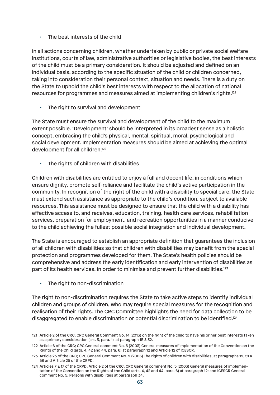The best interests of the child

In all actions concerning children, whether undertaken by public or private social welfare institutions, courts of law, administrative authorities or legislative bodies, the best interests of the child must be a primary consideration. It should be adjusted and defined on an individual basis, according to the specific situation of the child or children concerned, taking into consideration their personal context, situation and needs. There is a duty on the State to uphold the child's best interests with respect to the allocation of national resources for programmes and measures aimed at implementing children's rights.121

The right to survival and development

The State must ensure the survival and development of the child to the maximum extent possible. 'Development' should be interpreted in its broadest sense as a holistic concept, embracing the child's physical, mental, spiritual, moral, psychological and social development. Implementation measures should be aimed at achieving the optimal development for all children.122

• The rights of children with disabilities

Children with disabilities are entitled to enjoy a full and decent life, in conditions which ensure dignity, promote self-reliance and facilitate the child's active participation in the community. In recognition of the right of the child with a disability to special care, the State must extend such assistance as appropriate to the child's condition, subject to available resources. This assistance must be designed to ensure that the child with a disability has effective access to, and receives, education, training, health care services, rehabilitation services, preparation for employment, and recreation opportunities in a manner conducive to the child achieving the fullest possible social integration and individual development.

The State is encouraged to establish an appropriate definition that guarantees the inclusion of all children with disabilities so that children with disabilities may benefit from the special protection and programmes developed for them. The State's health policies should be comprehensive and address the early identification and early intervention of disabilities as part of its health services, in order to minimise and prevent further disabilities.<sup>123</sup>

The right to non-discrimination

The right to non-discrimination requires the State to take active steps to identify individual children and groups of children, who may require special measures for the recognition and realisation of their rights. The CRC Committee highlights the need for data collection to be disaggregated to enable discrimination or potential discrimination to be identified.<sup>124</sup>

<sup>121</sup> Article 2 of the CRC; CRC General Comment No. 14 (2013) on the right of the child to have his or her best interests taken as a primary consideration (art. 3, para. 1) at paragraph 15 & 32.

<sup>122</sup> Article 6 of the CRC; CRC General comment No. 5 (2003) General measures of implementation of the Convention on the Rights of the Child (arts. 4, 42 and 44, para. 6) at paragraph 12 and Article 12 of ICESCR.

<sup>123</sup> Article 23 of the CRC; CRC General Comment No. 9 (2006) The rights of children with disabilities, at paragraphs 19, 51 & 56 and Article 25 of the CRPD.

<sup>124</sup> Articles 7 & 17 of the CRPD; Article 2 of the CRC; CRC General comment No. 5 (2003) General measures of implementation of the Convention on the Rights of the Child (arts. 4, 42 and 44, para. 6) at paragraph 12; and ICESCR General comment No. 5: Persons with disabilities at paragraph 34.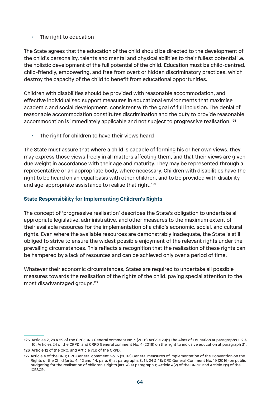#### $\cdot$  The right to education

The State agrees that the education of the child should be directed to the development of the child's personality, talents and mental and physical abilities to their fullest potential i.e. the holistic development of the full potential of the child. Education must be child-centred, child-friendly, empowering, and free from overt or hidden discriminatory practices, which destroy the capacity of the child to benefit from educational opportunities.

Children with disabilities should be provided with reasonable accommodation, and effective individualised support measures in educational environments that maximise academic and social development, consistent with the goal of full inclusion. The denial of reasonable accommodation constitutes discrimination and the duty to provide reasonable accommodation is immediately applicable and not subject to progressive realisation. <sup>125</sup>

• The right for children to have their views heard

The State must assure that where a child is capable of forming his or her own views, they may express those views freely in all matters affecting them, and that their views are given due weight in accordance with their age and maturity. They may be represented through a representative or an appropriate body, where necessary. Children with disabilities have the right to be heard on an equal basis with other children, and to be provided with disability and age-appropriate assistance to realise that right. <sup>126</sup>

### **State Responsibility for Implementing Children's Rights**

The concept of 'progressive realisation' describes the State's obligation to undertake all appropriate legislative, administrative, and other measures to the maximum extent of their available resources for the implementation of a child's economic, social, and cultural rights. Even where the available resources are demonstrably inadequate, the State is still obliged to strive to ensure the widest possible enjoyment of the relevant rights under the prevailing circumstances. This reflects a recognition that the realisation of these rights can be hampered by a lack of resources and can be achieved only over a period of time.

Whatever their economic circumstances, States are required to undertake all possible measures towards the realisation of the rights of the child, paying special attention to the most disadvantaged groups.127

<sup>125</sup> Articles 2, 28 & 29 of the CRC; CRC General comment No. 1 (2001) Article 29(1) The Aims of Education at paragraphs 1, 2 & 10; Articles 24 of the CRPD; and CRPD General comment No. 4 (2016) on the right to inclusive education at paragraph 31.

<sup>126</sup> Article 12 of the CRC, and Article 7(3) of the CRPD.

<sup>127</sup> Article 4 of the CRC; CRC General comment No. 5 (2003) General measures of implementation of the Convention on the Rights of the Child (arts. 4, 42 and 44, para. 6) at paragraphs 8, 11, 24 & 48; CRC General Comment No. 19 (2016) on public budgeting for the realisation of children's rights (art. 4) at paragraph 1; Article 4(2) of the CRPD; and Article 2(1) of the ICESCR.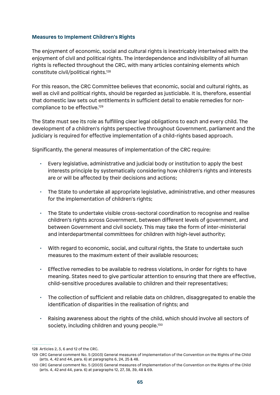#### **Measures to Implement Children's Rights**

The enjoyment of economic, social and cultural rights is inextricably intertwined with the enjoyment of civil and political rights. The interdependence and indivisibility of all human rights is reflected throughout the CRC, with many articles containing elements which constitute civil/political rights.128

For this reason, the CRC Committee believes that economic, social and cultural rights, as well as civil and political rights, should be regarded as justiciable. It is, therefore, essential that domestic law sets out entitlements in sufficient detail to enable remedies for noncompliance to be effective.<sup>129</sup>

The State must see its role as fulfilling clear legal obligations to each and every child. The development of a children's rights perspective throughout Government, parliament and the judiciary is required for effective implementation of a child-rights based approach.

Significantly, the general measures of implementation of the CRC require:

- Every legislative, administrative and judicial body or institution to apply the best interests principle by systematically considering how children's rights and interests are or will be affected by their decisions and actions;
- The State to undertake all appropriate legislative, administrative, and other measures for the implementation of children's rights;
- The State to undertake visible cross-sectoral coordination to recognise and realise children's rights across Government, between different levels of government, and between Government and civil society. This may take the form of inter-ministerial and interdepartmental committees for children with high-level authority;
- With regard to economic, social, and cultural rights, the State to undertake such measures to the maximum extent of their available resources;
- Effective remedies to be available to redress violations, in order for rights to have meaning. States need to give particular attention to ensuring that there are effective, child-sensitive procedures available to children and their representatives;
- The collection of sufficient and reliable data on children, disaggregated to enable the identification of disparities in the realisation of rights; and
- Raising awareness about the rights of the child, which should involve all sectors of society, including children and young people.<sup>130</sup>

<sup>128</sup> Articles 2, 3, 6 and 12 of the CRC.

<sup>129</sup> CRC General comment No. 5 (2003) General measures of implementation of the Convention on the Rights of the Child (arts. 4, 42 and 44, para. 6) at paragraphs 6, 24, 25 & 48.

<sup>130</sup> CRC General comment No. 5 (2003) General measures of implementation of the Convention on the Rights of the Child (arts. 4, 42 and 44, para. 6) at paragraphs 12, 27, 38, 39, 48 & 69.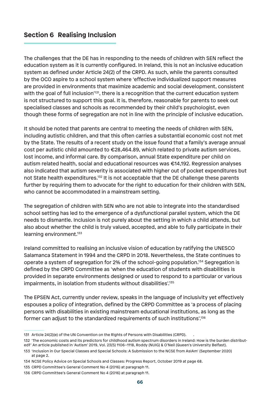# **Section 6 Realising Inclusion**

The challenges that the DE has in responding to the needs of children with SEN reflect the education system as it is currently configured. In Ireland, this is not an inclusive education system as defined under Article 24(2) of the CRPD. As such, while the parents consulted by the OCO aspire to a school system where 'effective individualized support measures are provided in environments that maximize academic and social development, consistent with the goal of full inclusion<sup>131</sup>, there is a recognition that the current education system is not structured to support this goal. It is, therefore, reasonable for parents to seek out specialised classes and schools as recommended by their child's psychologist, even though these forms of segregation are not in line with the principle of inclusive education.

It should be noted that parents are central to meeting the needs of children with SEN, including autistic children, and that this often carries a substantial economic cost not met by the State. The results of a recent study on the issue found that a family's average annual cost per autistic child amounted to €28,464.89, which related to private autism services, lost income, and informal care. By comparison, annual State expenditure per child on autism related health, social and educational resources was €14,192. Regression analyses also indicated that autism severity is associated with higher out of pocket expenditures but not State health expenditures.<sup>132</sup> It is not acceptable that the DE challenge these parents further by requiring them to advocate for the right to education for their children with SEN, who cannot be accommodated in a mainstream setting.

The segregation of children with SEN who are not able to integrate into the standardised school setting has led to the emergence of a dysfunctional parallel system, which the DE needs to dismantle. Inclusion is not purely about the setting in which a child attends, but also about whether the child is truly valued, accepted, and able to fully participate in their learning environment.133

Ireland committed to realising an inclusive vision of education by ratifying the UNESCO Salamanca Statement in 1994 and the CRPD in 2018. Nevertheless, the State continues to operate a system of segregation for 2% of the school-going population.134 Segregation is defined by the CRPD Committee as 'when the education of students with disabilities is provided in separate environments designed or used to respond to a particular or various impairments, in isolation from students without disabilities'.135

The EPSEN Act, currently under review, speaks in the language of inclusivity yet effectively espouses a policy of integration, defined by the CRPD Committee as 'a process of placing persons with disabilities in existing mainstream educational institutions, as long as the former can adjust to the standardized requirements of such institutions'.136

<sup>131</sup> Article 24(2)(e) of the UN Convention on the Rights of Persons with Disabilities (CRPD). .

<sup>132 &#</sup>x27;The economic costs and its predictors for childhood autism spectrum disorders in Ireland: How is the burden distributed?' An article published in 'Autism' 2019, Vol. 23(5) 1106–1118, Roddy (NUIG) & O'Neil (Queen's University Belfast).

<sup>133</sup> 'Inclusion in Our Special Classes and Special Schools: A Submission to the NCSE from AsIAm' (September 2020) at page 2.

<sup>134</sup> NCSE Policy Advice on Special Schools and Classes: Progress Report, October 2019 at page 68.

<sup>135</sup> CRPD Committee's General Comment No 4 (2016) at paragraph 11.

<sup>136</sup> CRPD Committee's General Comment No 4 (2016) at paragraph 11.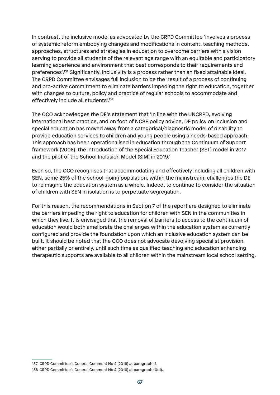In contrast, the inclusive model as advocated by the CRPD Committee 'involves a process of systemic reform embodying changes and modifications in content, teaching methods, approaches, structures and strategies in education to overcome barriers with a vision serving to provide all students of the relevant age range with an equitable and participatory learning experience and environment that best corresponds to their requirements and preferences'.137 Significantly, inclusivity is a process rather than an fixed attainable ideal. The CRPD Committee envisages full inclusion to be the 'result of a process of continuing and pro-active commitment to eliminate barriers impeding the right to education, together with changes to culture, policy and practice of regular schools to accommodate and effectively include all students'.<sup>138</sup>

The OCO acknowledges the DE's statement that 'In line with the UNCRPD, evolving international best practice, and on foot of NCSE policy advice, DE policy on inclusion and special education has moved away from a categorical/diagnostic model of disability to provide education services to children and young people using a needs-based approach. This approach has been operationalised in education through the Continuum of Support framework (2008), the introduction of the Special Education Teacher (SET) model in 2017 and the pilot of the School Inclusion Model (SIM) in 2019.'

Even so, the OCO recognises that accommodating and effectively including all children with SEN, some 25% of the school-going population, within the mainstream, challenges the DE to reimagine the education system as a whole. Indeed, to continue to consider the situation of children with SEN in isolation is to perpetuate segregation.

For this reason, the recommendations in Section 7 of the report are designed to eliminate the barriers impeding the right to education for children with SEN in the communities in which they live. It is envisaged that the removal of barriers to access to the continuum of education would both ameliorate the challenges within the education system as currently configured and provide the foundation upon which an inclusive education system can be built. It should be noted that the OCO does not advocate devolving specialist provision, either partially or entirely, until such time as qualified teaching and education enhancing therapeutic supports are available to all children within the mainstream local school setting.

<sup>137</sup> CRPD Committee's General Comment No 4 (2016) at paragraph 11.

<sup>138</sup> CRPD Committee's General Comment No 4 (2016) at paragraph 10(d).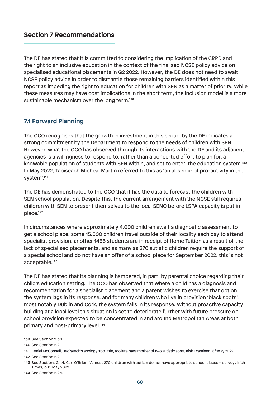## **Section 7 Recommendations**

The DE has stated that it is committed to considering the implication of the CRPD and the right to an inclusive education in the context of the finalised NCSE policy advice on specialised educational placements in Q2 2022. However, the DE does not need to await NCSE policy advice in order to dismantle those remaining barriers identified within this report as impeding the right to education for children with SEN as a matter of priority. While these measures may have cost implications in the short term, the inclusion model is a more sustainable mechanism over the long term.<sup>139</sup>

### **7.1 Forward Planning**

The OCO recognises that the growth in investment in this sector by the DE indicates a strong commitment by the Department to respond to the needs of children with SEN. However, what the OCO has observed through its interactions with the DE and its adjacent agencies is a willingness to respond to, rather than a concerted effort to plan for, a knowable population of students with SEN within, and set to enter, the education system.140 In May 2022, Taoiseach Micheál Martin referred to this as 'an absence of pro-activity in the system'.141

The DE has demonstrated to the OCO that it has the data to forecast the children with SEN school population. Despite this, the current arrangement with the NCSE still requires children with SEN to present themselves to the local SENO before LSPA capacity is put in place.142

In circumstances where approximately 4,000 children await a diagnostic assessment to get a school place, some 15,500 children travel outside of their locality each day to attend specialist provision, another 1455 students are in receipt of Home Tuition as a result of the lack of specialised placements, and as many as 270 autistic children require the support of a special school and do not have an offer of a school place for September 2022, this is not acceptable.143

The DE has stated that its planning is hampered, in part, by parental choice regarding their child's education setting. The OCO has observed that where a child has a diagnosis and recommendation for a specialist placement and a parent wishes to exercise that option, the system lags in its response, and for many children who live in provision 'black spots', most notably Dublin and Cork, the system fails in its response. Without proactive capacity building at a local level this situation is set to deteriorate further with future pressure on school provision expected to be concentrated in and around Metropolitan Areas at both primary and post-primary level.144

142 See Section 2.2.

144 See Section 2.2.1.

<sup>139</sup> See Section 2.3.1.

<sup>140</sup> See Section 2.2.

<sup>141</sup> Daniel McConnell, 'Taoiseach's apology 'too little, too late' says mother of two autistic sons', Irish Examiner, 18th May 2022.

<sup>143</sup> See Sections 2.1.4. Carl O'Brien, 'Almost 270 children with autism do not have appropriate school places – survey', Irish Times, 30th May 2022.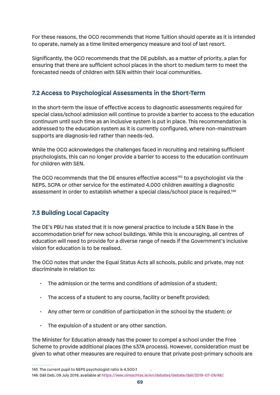For these reasons, the OCO recommends that Home Tuition should operate as it is intended to operate, namely as a time limited emergency measure and tool of last resort.

Significantly, the OCO recommends that the DE publish, as a matter of priority, a plan for ensuring that there are sufficient school places in the short to medium term to meet the forecasted needs of children with SEN within their local communities.

# **7.2 Access to Psychological Assessments in the Short-Term**

In the short-term the issue of effective access to diagnostic assessments required for special class/school admission will continue to provide a barrier to access to the education continuum until such time as an inclusive system is put in place. This recommendation is addressed to the education system as it is currently configured, where non-mainstream supports are diagnosis-led rather than needs-led.

While the OCO acknowledges the challenges faced in recruiting and retaining sufficient psychologists, this can no longer provide a barrier to access to the education continuum for children with SEN.

The OCO recommends that the DE ensures effective access<sup>145</sup> to a psychologist via the NEPS, SCPA or other service for the estimated 4,000 children awaiting a diagnostic assessment in order to establish whether a special class/school place is required.146

# **7.3 Building Local Capacity**

The DE's PBU has stated that it is now general practice to include a SEN Base in the accommodation brief for new school buildings. While this is encouraging, all centres of education will need to provide for a diverse range of needs if the Government's inclusive vision for education is to be realised.

The OCO notes that under the Equal Status Acts all schools, public and private, may not discriminate in relation to:

- The admission or the terms and conditions of admission of a student;
- The access of a student to any course, facility or benefit provided;
- Any other term or condition of participation in the school by the student; or
- The expulsion of a student or any other sanction.

The Minister for Education already has the power to compel a school under the Free Scheme to provide additional places (the s37A process). However, consideration must be given to what other measures are required to ensure that private post-primary schools are

145 The current pupil to NEPS psychologist ratio is 4,500:1 .

<sup>146</sup> Dáil Deb, 09 July 2019, available at https://www.oireachtas.ie/en/debates/debate/dail/2019-07-09/48/.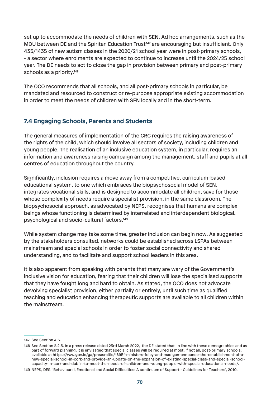set up to accommodate the needs of children with SEN. Ad hoc arrangements, such as the MOU between DE and the Spiritan Education Trust<sup>147</sup> are encouraging but insufficient. Only 435/1435 of new autism classes in the 2020/21 school year were in post-primary schools, - a sector where enrolments are expected to continue to increase until the 2024/25 school year. The DE needs to act to close the gap in provision between primary and post-primary schools as a priority.<sup>148</sup>

The OCO recommends that all schools, and all post-primary schools in particular, be mandated and resourced to construct or re-purpose appropriate existing accommodation in order to meet the needs of children with SEN locally and in the short-term.

## **7.4 Engaging Schools, Parents and Students**

The general measures of implementation of the CRC requires the raising awareness of the rights of the child, which should involve all sectors of society, including children and young people. The realisation of an inclusive education system, in particular, requires an information and awareness raising campaign among the management, staff and pupils at all centres of education throughout the country.

Significantly, inclusion requires a move away from a competitive, curriculum-based educational system, to one which embraces the biopsychosocial model of SEN, integrates vocational skills, and is designed to accommodate all children, save for those whose complexity of needs require a specialist provision, in the same classroom. The biopsychosocial approach, as advocated by NEPS, recognises that humans are complex beings whose functioning is determined by interrelated and interdependent biological, psychological and socio-cultural factors.149

While system change may take some time, greater inclusion can begin now. As suggested by the stakeholders consulted, networks could be established across LSPAs between mainstream and special schools in order to foster social connectivity and shared understanding, and to facilitate and support school leaders in this area.

It is also apparent from speaking with parents that many are wary of the Government's inclusive vision for education, fearing that their children will lose the specialised supports that they have fought long and hard to obtain. As stated, the OCO does not advocate devolving specialist provision, either partially or entirely, until such time as qualified teaching and education enhancing therapeutic supports are available to all children within the mainstream.

<sup>147</sup> See Section 4.6.

<sup>148</sup> See Section 2.2.5. In a press release dated 23rd March 2022, the DE stated that 'In line with these demographics and as part of forward planning, it is envisaged that special classes will be required at most, if not all, post-primary schools', available at https://www.gov.ie/ga/preasraitis/1895f-ministers-foley-and-madigan-announce-the-establishment-of-anew-special-school-in-cork-and-provide-an-update-on-the-expansion-of-existing-special-class-and-special-schoolcapacity-in-cork-and-dublin-to-meet-the-needs-of-children-and-young-people-with-special-educational-needs/.

<sup>149</sup> NEPS, DES, 'Behavioural, Emotional and Social Difficulties: A continuum of Support - Guidelines for Teachers', 2010.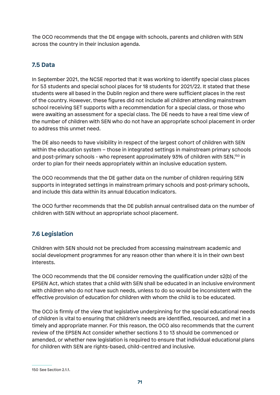The OCO recommends that the DE engage with schools, parents and children with SEN across the country in their inclusion agenda.

# **7.5 Data**

In September 2021, the NCSE reported that it was working to identify special class places for 53 students and special school places for 18 students for 2021/22. It stated that these students were all based in the Dublin region and there were sufficient places in the rest of the country. However, these figures did not include all children attending mainstream school receiving SET supports with a recommendation for a special class, or those who were awaiting an assessment for a special class. The DE needs to have a real time view of the number of children with SEN who do not have an appropriate school placement in order to address this unmet need.

The DE also needs to have visibility in respect of the largest cohort of children with SEN within the education system – those in integrated settings in mainstream primary schools and post-primary schools - who represent approximately 93% of children with SEN,<sup>150</sup> in order to plan for their needs appropriately within an inclusive education system.

The OCO recommends that the DE gather data on the number of children requiring SEN supports in integrated settings in mainstream primary schools and post-primary schools, and include this data within its annual Education Indicators.

The OCO further recommends that the DE publish annual centralised data on the number of children with SEN without an appropriate school placement.

# **7.6 Legislation**

Children with SEN should not be precluded from accessing mainstream academic and social development programmes for any reason other than where it is in their own best interests.

The OCO recommends that the DE consider removing the qualification under s2(b) of the EPSEN Act, which states that a child with SEN shall be educated in an inclusive environment with children who do not have such needs, unless to do so would be inconsistent with the effective provision of education for children with whom the child is to be educated.

The OCO is firmly of the view that legislative underpinning for the special educational needs of children is vital to ensuring that children's needs are identified, resourced, and met in a timely and appropriate manner. For this reason, the OCO also recommends that the current review of the EPSEN Act consider whether sections 3 to 13 should be commenced or amended, or whether new legislation is required to ensure that individual educational plans for children with SEN are rights-based, child-centred and inclusive.

<sup>150</sup> See Section 2.1.1.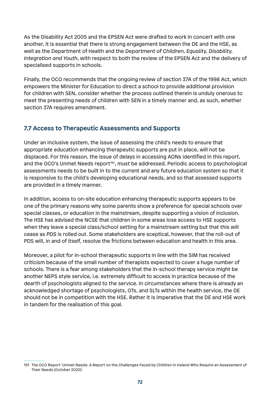As the Disability Act 2005 and the EPSEN Act were drafted to work in concert with one another, it is essential that there is strong engagement between the DE and the HSE, as well as the Department of Health and the *Department of Children, Equality, Disability, Integration and Youth*, with respect to both the review of the EPSEN Act and the delivery of specialised supports in schools.

Finally, the OCO recommends that the ongoing review of section 37A of the 1998 Act, which empowers the Minister for Education to direct a school to provide additional provision for children with SEN, consider whether the process outlined therein is unduly onerous to meet the presenting needs of children with SEN in a timely manner and, as such, whether section 37A requires amendment.

## **7.7 Access to Therapeutic Assessments and Supports**

Under an inclusive system, the issue of assessing the child's needs to ensure that appropriate education enhancing therapeutic supports are put in place, will not be displaced. For this reason, the issue of delays in accessing AONs identified in this report, and the OCO's Unmet Needs report<sup>151</sup>, must be addressed. Periodic access to psychological assessments needs to be built in to the current and any future education system so that it is responsive to the child's developing educational needs, and so that assessed supports are provided in a timely manner.

In addition, access to on-site education enhancing therapeutic supports appears to be one of the primary reasons why some parents show a preference for special schools over special classes, or education in the mainstream, despite supporting a vision of inclusion. The HSE has advised the NCSE that children in some areas lose access to HSE supports when they leave a special class/school setting for a mainstream setting but that this will cease as *PDS* is rolled out. Some stakeholders are sceptical, however, that the roll-out of PDS will, in and of itself, resolve the frictions between education and health in this area.

Moreover, a pilot for in-school therapeutic supports in line with the SIM has received criticism because of the small number of therapists expected to cover a huge number of schools. There is a fear among stakeholders that the in-school therapy service might be another NEPS style service, i.e. extremely difficult to access in practice because of the dearth of psychologists aligned to the service. In circumstances where there is already an acknowledged shortage of psychologists, OTs, and SLTs within the health service, the DE should not be in competition with the HSE. Rather it is imperative that the DE and HSE work in tandem for the realisation of this goal.

<sup>151</sup> The OCO Report 'Unmet Needs: A Report on the Challenges Faced by Children in Ireland Who Require an Assessment of Their Needs (October 2020)'.